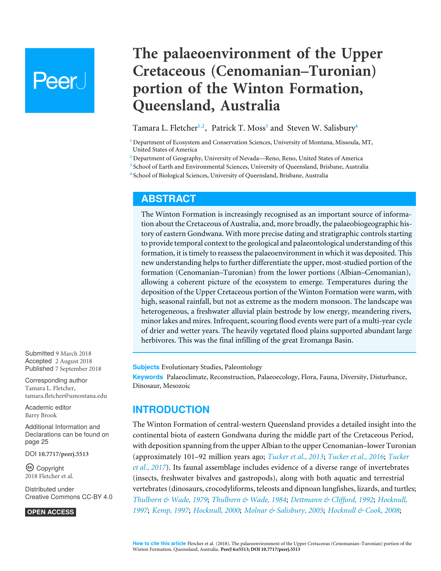# Peer l

## **The palaeoenvironment of the Upper Cretaceous (Cenomanian–Turonian) portion of the Winton Formation, Queensland, Australia**

<span id="page-0-6"></span><span id="page-0-5"></span><span id="page-0-4"></span>Tamara L. Fletcher**[1](#page-0-0)**,**[2](#page-0-1)** , Patrick T. Moss**[3](#page-0-2)** and Steven W. Salisbury**[4](#page-0-3)**

<span id="page-0-0"></span>**<sup>1</sup>** Department of Ecosystem and Conservation Sciences, University of Montana, Missoula, MT, United States of America

<span id="page-0-1"></span>**<sup>2</sup>** Department of Geography, University of Nevada—Reno, Reno, United States of America

<span id="page-0-2"></span>**3** School of Earth and Environmental Sciences, University of Queensland, Brisbane, Australia

<span id="page-0-3"></span>**4** School of Biological Sciences, University of Queensland, Brisbane, Australia

## **ABSTRACT**

The Winton Formation is increasingly recognised as an important source of information about the Cretaceous of Australia, and, more broadly, the palaeobiogeographic history of eastern Gondwana. With more precise dating and stratigraphic controls starting to provide temporal context to the geological and palaeontological understanding of this formation, it is timely to reassess the palaeoenvironment in which it was deposited. This new understanding helps to further differentiate the upper, most-studied portion of the formation (Cenomanian–Turonian) from the lower portions (Albian–Cenomanian), allowing a coherent picture of the ecosystem to emerge. Temperatures during the deposition of the Upper Cretaceous portion of the Winton Formation were warm, with high, seasonal rainfall, but not as extreme as the modern monsoon. The landscape was heterogeneous, a freshwater alluvial plain bestrode by low energy, meandering rivers, minor lakes and mires. Infrequent, scouring flood events were part of a multi-year cycle of drier and wetter years. The heavily vegetated flood plains supported abundant large herbivores. This was the final infilling of the great Eromanga Basin.

**Subjects** Evolutionary Studies, Paleontology

**Keywords** Palaeoclimate, Reconstruction, Palaeoecology, Flora, Fauna, Diversity, Disturbance, Dinosaur, Mesozoic

## **INTRODUCTION**

The Winton Formation of central-western Queensland provides a detailed insight into the continental biota of eastern Gondwana during the middle part of the Cretaceous Period, with deposition spanning from the upper Albian to the upper Cenomanian–lower Turonian (approximately 101–92 million years ago; *[Tucker et al., 2013](#page-37-0)*; *[Tucker et al., 2016](#page-36-0)*; *[Tucker](#page-36-1) [et al., 2017](#page-36-1)*). Its faunal assemblage includes evidence of a diverse range of invertebrates (insects, freshwater bivalves and gastropods), along with both aquatic and terrestrial vertebrates (dinosaurs, crocodyliforms, teleosts and dipnoan lungfishes, lizards, and turtles; *[Thulborn & Wade, 1979](#page-36-2)*; *[Thulborn & Wade, 1984](#page-36-3)*; *[Dettmann & Clifford, 1992](#page-27-0)*; *[Hocknull,](#page-30-0) [1997](#page-30-0)*; *[Kemp, 1997](#page-31-0)*; *[Hocknull, 2000](#page-30-1)*; *[Molnar & Salisbury, 2005](#page-33-0)*; *[Hocknull & Cook, 2008](#page-30-2)*;

Submitted 9 March 2018 Accepted 2 August 2018 Published 7 September 2018

Corresponding author Tamara L. Fletcher, [tamara.fletcher@umontana.edu](mailto:tamara.fletcher@umontana.edu)

[Academic editor](https://peerj.com/academic-boards/editors/) [Barry Brook](https://peerj.com/academic-boards/editors/)

[Additional Information and](#page-24-0) [Declarations can be found on](#page-24-0) [page 25](#page-24-0)

DOI **[10.7717/peerj.5513](http://dx.doi.org/10.7717/peerj.5513)**

Ccopyright 2018 Fletcher et al.

[Distributed under](http://creativecommons.org/licenses/by/4.0/) [Creative Commons CC-BY 4.0](http://creativecommons.org/licenses/by/4.0/)

#### **OPEN ACCESS**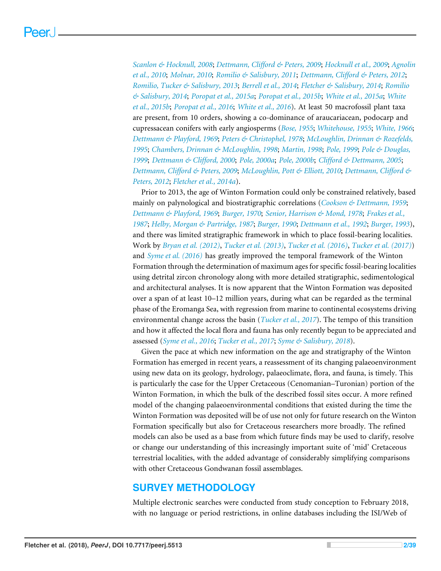*[Scanlon & Hocknull, 2008](#page-35-0)*; *[Dettmann, Clifford & Peters, 2009](#page-27-1)*; *[Hocknull et al., 2009](#page-30-3)*; *[Agnolin](#page-25-0) [et al., 2010](#page-25-0)*; *[Molnar, 2010](#page-33-1)*; *[Romilio & Salisbury, 2011](#page-35-1)*; *[Dettmann, Clifford & Peters, 2012](#page-28-0)*; *[Romilio, Tucker & Salisbury, 2013](#page-35-2)*; *[Berrell et al., 2014](#page-25-1)*; *[Fletcher & Salisbury, 2014](#page-29-0)*; *[Romilio](#page-35-3) [& Salisbury, 2014](#page-35-3)*; *[Poropat et al., 2015a](#page-34-0)*; *[Poropat et al., 2015b](#page-34-1)*; *[White et al., 2015a](#page-37-1)*; *[White](#page-37-2) [et al., 2015b](#page-37-2)*; *[Poropat et al., 2016](#page-34-2)*; *[White et al., 2016](#page-38-0)*). At least 50 macrofossil plant taxa are present, from 10 orders, showing a co-dominance of araucariacean, podocarp and cupressacean conifers with early angiosperms (*[Bose, 1955](#page-25-2)*; *[Whitehouse, 1955](#page-38-1)*; *[White, 1966](#page-37-3)*; *[Dettmann & Playford, 1969](#page-28-1)*; *[Peters & Christophel, 1978](#page-34-3)*; *[McLoughlin, Drinnan & Rozefelds,](#page-32-0) [1995](#page-32-0)*; *[Chambers, Drinnan & McLoughlin, 1998](#page-26-0)*; *[Martin, 1998](#page-32-1)*; *[Pole, 1999](#page-34-4)*; *[Pole & Douglas,](#page-34-5) [1999](#page-34-5)*; *[Dettmann & Clifford, 2000](#page-27-2)*; *[Pole, 2000a](#page-34-6)*; *[Pole, 2000b](#page-34-7)*; *[Clifford & Dettmann, 2005](#page-27-3)*; *[Dettmann, Clifford & Peters, 2009](#page-27-1)*; *[McLoughlin, Pott & Elliott, 2010](#page-32-2)*; *[Dettmann, Clifford &](#page-28-0) [Peters, 2012](#page-28-0)*; *[Fletcher et al., 2014a](#page-29-1)*).

Prior to 2013, the age of Winton Formation could only be constrained relatively, based mainly on palynological and biostratigraphic correlations (*[Cookson & Dettmann, 1959](#page-27-4)*; *[Dettmann & Playford, 1969](#page-28-1)*; *[Burger, 1970](#page-26-1)*; *[Senior, Harrison & Mond, 1978](#page-35-4)*; *[Frakes et al.,](#page-29-2) [1987](#page-29-2)*; *[Helby, Morgan & Partridge, 1987](#page-30-4)*; *[Burger, 1990](#page-26-2)*; *[Dettmann et al., 1992](#page-28-2)*; *[Burger, 1993](#page-26-3)*), and there was limited stratigraphic framework in which to place fossil-bearing localities. Work by *[Bryan et al. \(2012\)](#page-26-4)*, *[Tucker et al. \(2013\)](#page-37-0)*, *[Tucker et al. \(2016\)](#page-36-0)*, *[Tucker et al. \(2017\)](#page-36-1)*) and *[Syme et al. \(2016\)](#page-36-4)* has greatly improved the temporal framework of the Winton Formation through the determination of maximum ages for specific fossil-bearing localities using detrital zircon chronology along with more detailed stratigraphic, sedimentological and architectural analyses. It is now apparent that the Winton Formation was deposited over a span of at least 10–12 million years, during what can be regarded as the terminal phase of the Eromanga Sea, with regression from marine to continental ecosystems driving environmental change across the basin (*[Tucker et al., 2017](#page-36-1)*). The tempo of this transition and how it affected the local flora and fauna has only recently begun to be appreciated and assessed (*[Syme et al., 2016](#page-36-4)*; *[Tucker et al., 2017](#page-36-1)*; *[Syme & Salisbury, 2018](#page-36-5)*).

Given the pace at which new information on the age and stratigraphy of the Winton Formation has emerged in recent years, a reassessment of its changing palaeoenvironment using new data on its geology, hydrology, palaeoclimate, flora, and fauna, is timely. This is particularly the case for the Upper Cretaceous (Cenomanian–Turonian) portion of the Winton Formation, in which the bulk of the described fossil sites occur. A more refined model of the changing palaeoenvironmental conditions that existed during the time the Winton Formation was deposited will be of use not only for future research on the Winton Formation specifically but also for Cretaceous researchers more broadly. The refined models can also be used as a base from which future finds may be used to clarify, resolve or change our understanding of this increasingly important suite of 'mid' Cretaceous terrestrial localities, with the added advantage of considerably simplifying comparisons with other Cretaceous Gondwanan fossil assemblages.

## **SURVEY METHODOLOGY**

Multiple electronic searches were conducted from study conception to February 2018, with no language or period restrictions, in online databases including the ISI/Web of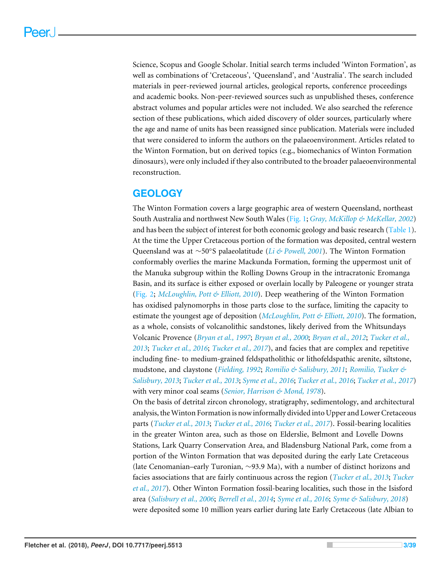Science, Scopus and Google Scholar. Initial search terms included 'Winton Formation', as well as combinations of 'Cretaceous', 'Queensland', and 'Australia'. The search included materials in peer-reviewed journal articles, geological reports, conference proceedings and academic books. Non-peer-reviewed sources such as unpublished theses, conference abstract volumes and popular articles were not included. We also searched the reference section of these publications, which aided discovery of older sources, particularly where the age and name of units has been reassigned since publication. Materials were included that were considered to inform the authors on the palaeoenvironment. Articles related to the Winton Formation, but on derived topics (e.g., biomechanics of Winton Formation dinosaurs), were only included if they also contributed to the broader palaeoenvironmental reconstruction.

## **GEOLOGY**

The Winton Formation covers a large geographic area of western Queensland, northeast South Australia and northwest New South Wales [\(Fig. 1;](#page-3-0) *[Gray, McKillop & MeKellar, 2002](#page-30-5)*) and has been the subject of interest for both economic geology and basic research [\(Table 1\)](#page-4-0). At the time the Upper Cretaceous portion of the formation was deposited, central western Queensland was at ∼50°S palaeolatitude (*[Li & Powell, 2001](#page-31-1)*). The Winton Formation conformably overlies the marine Mackunda Formation, forming the uppermost unit of the Manuka subgroup within the Rolling Downs Group in the intracratonic Eromanga Basin, and its surface is either exposed or overlain locally by Paleogene or younger strata [\(Fig. 2;](#page-6-0) *[McLoughlin, Pott & Elliott, 2010](#page-32-2)*). Deep weathering of the Winton Formation has oxidised palynomorphs in those parts close to the surface, limiting the capacity to estimate the youngest age of deposition (*[McLoughlin, Pott & Elliott, 2010](#page-32-2)*). The formation, as a whole, consists of volcanolithic sandstones, likely derived from the Whitsundays Volcanic Provence (*[Bryan et al., 1997](#page-25-3)*; *[Bryan et al., 2000](#page-26-5)*; *[Bryan et al., 2012](#page-26-4)*; *[Tucker et al.,](#page-37-0) [2013](#page-37-0)*; *[Tucker et al., 2016](#page-36-0)*; *[Tucker et al., 2017](#page-36-1)*), and facies that are complex and repetitive including fine- to medium-grained feldspatholithic or lithofeldspathic arenite, siltstone, mudstone, and claystone (*[Fielding, 1992](#page-28-3)*; *[Romilio & Salisbury, 2011](#page-35-1)*; *[Romilio, Tucker &](#page-35-2) [Salisbury, 2013](#page-35-2)*; *[Tucker et al., 2013](#page-37-0)*; *[Syme et al., 2016](#page-36-4)*; *[Tucker et al., 2016](#page-36-0)*; *[Tucker et al., 2017](#page-36-1)*) with very minor coal seams (*[Senior, Harrison & Mond, 1978](#page-35-4)*).

On the basis of detrital zircon chronology, stratigraphy, sedimentology, and architectural analysis, theWinton Formation is now informally divided into Upper and Lower Cretaceous parts (*[Tucker et al., 2013](#page-37-0)*; *[Tucker et al., 2016](#page-36-0)*; *[Tucker et al., 2017](#page-36-1)*). Fossil-bearing localities in the greater Winton area, such as those on Elderslie, Belmont and Lovelle Downs Stations, Lark Quarry Conservation Area, and Bladensburg National Park, come from a portion of the Winton Formation that was deposited during the early Late Cretaceous (late Cenomanian–early Turonian, ∼93.9 Ma), with a number of distinct horizons and facies associations that are fairly continuous across the region (*[Tucker et al., 2013](#page-37-0)*; *[Tucker](#page-36-1) [et al., 2017](#page-36-1)*). Other Winton Formation fossil-bearing localities, such those in the Isisford area (*[Salisbury et al., 2006](#page-35-5)*; *[Berrell et al., 2014](#page-25-1)*; *[Syme et al., 2016](#page-36-4)*; *[Syme & Salisbury, 2018](#page-36-5)*) were deposited some 10 million years earlier during late Early Cretaceous (late Albian to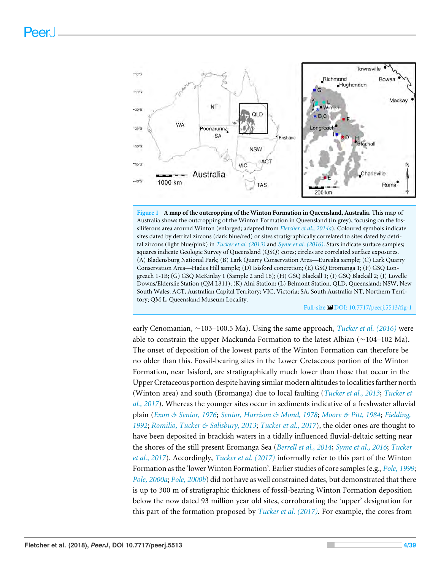<span id="page-3-0"></span>

**Figure 1 A map of the outcropping of the Winton Formation in Queensland, Australia.** This map of Australia shows the outcropping of the Winton Formation in Queensland (in grey), focusing on the fossiliferous area around Winton (enlarged; adapted from *[Fletcher et al., 2014a](#page-29-1)*). Coloured symbols indicate sites dated by detrital zircons (dark blue/red) or sites stratigraphically correlated to sites dated by detrital zircons (light blue/pink) in *[Tucker et al. \(2013\)](#page-37-0)* and *[Syme et al. \(2016\)](#page-36-4)*. Stars indicate surface samples; squares indicate Geologic Survey of Queensland (QSQ) cores; circles are correlated surface exposures. (A) Bladensburg National Park; (B) Lark Quarry Conservation Area—Eureaka sample; (C) Lark Quarry Conservation Area—Hades Hill sample; (D) Isisford concretion; (E) GSQ Eromanga 1; (F) GSQ Longreach 1-1B; (G) GSQ McKinlay 1 (Sample 2 and 16); (H) GSQ Blackall 1; (I) GSQ Blackall 2; (J) Lovelle Downs/Elderslie Station (QM L311); (K) Alni Station; (L) Belmont Station. QLD, Queensland; NSW, New South Wales; ACT, Australian Capital Territory; VIC, Victoria; SA, South Australia; NT, Northern Territory; QM L, Queensland Museum Locality.

Full-size DOI: [10.7717/peerj.5513/fig-1](https://doi.org/10.7717/peerj.5513/fig-1)

early Cenomanian, ∼103–100.5 Ma). Using the same approach, *[Tucker et al. \(2016\)](#page-36-0)* were able to constrain the upper Mackunda Formation to the latest Albian (∼104–102 Ma). The onset of deposition of the lowest parts of the Winton Formation can therefore be no older than this. Fossil-bearing sites in the Lower Cretaceous portion of the Winton Formation, near Isisford, are stratigraphically much lower than those that occur in the Upper Cretaceous portion despite having similar modern altitudes to localities farther north (Winton area) and south (Eromanga) due to local faulting (*[Tucker et al., 2013](#page-37-0)*; *[Tucker et](#page-36-1) [al., 2017](#page-36-1)*). Whereas the younger sites occur in sediments indicative of a freshwater alluvial plain (*[Exon & Senior, 1976](#page-28-4)*; *[Senior, Harrison & Mond, 1978](#page-35-4)*; *[Moore & Pitt, 1984](#page-33-2)*; *[Fielding,](#page-28-3) [1992](#page-28-3)*; *[Romilio, Tucker & Salisbury, 2013](#page-35-2)*; *[Tucker et al., 2017](#page-36-1)*), the older ones are thought to have been deposited in brackish waters in a tidally influenced fluvial-deltaic setting near the shores of the still present Eromanga Sea (*[Berrell et al., 2014](#page-25-1)*; *[Syme et al., 2016](#page-36-4)*; *[Tucker](#page-36-1) [et al., 2017](#page-36-1)*). Accordingly, *[Tucker et al. \(2017\)](#page-36-1)* informally refer to this part of the Winton Formation as the 'lower Winton Formation'. Earlier studies of core samples (e.g., *[Pole, 1999](#page-34-4)*; *[Pole, 2000a](#page-34-6)*; *[Pole, 2000b](#page-34-7)*) did not have as well constrained dates, but demonstrated that there is up to 300 m of stratigraphic thickness of fossil-bearing Winton Formation deposition below the now dated 93 million year old sites, corroborating the 'upper' designation for this part of the formation proposed by *[Tucker et al. \(2017\)](#page-36-1)*. For example, the cores from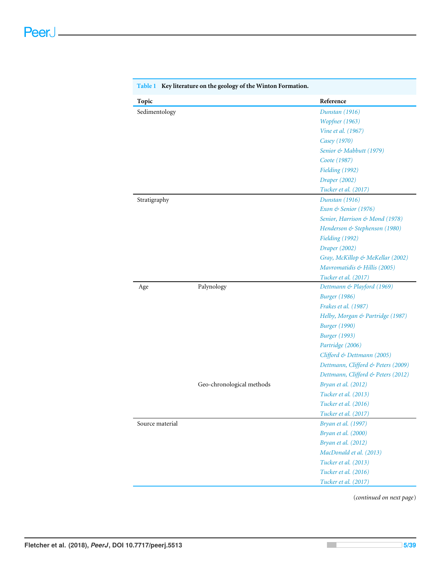| Topic           |                           | Reference                          |  |
|-----------------|---------------------------|------------------------------------|--|
| Sedimentology   |                           | Dunstan (1916)                     |  |
|                 |                           | Wopfner (1963)                     |  |
|                 |                           | Vine et al. (1967)                 |  |
|                 |                           | Casey (1970)                       |  |
|                 |                           | Senior & Mabbutt (1979)            |  |
|                 |                           | Coote (1987)                       |  |
|                 |                           | Fielding (1992)                    |  |
|                 |                           | Draper (2002)                      |  |
|                 |                           | Tucker et al. (2017)               |  |
| Stratigraphy    |                           | Dunstan (1916)                     |  |
|                 |                           | Exon & Senior (1976)               |  |
|                 |                           | Senior, Harrison & Mond (1978)     |  |
|                 |                           | Henderson & Stephenson (1980)      |  |
|                 |                           | Fielding (1992)                    |  |
|                 |                           | Draper (2002)                      |  |
|                 |                           | Gray, McKillop & MeKellar (2002)   |  |
|                 |                           | Mavromatidis & Hillis (2005)       |  |
|                 |                           | Tucker et al. (2017)               |  |
| Age             | Palynology                | Dettmann & Playford (1969)         |  |
|                 |                           | <b>Burger</b> (1986)               |  |
|                 |                           | Frakes et al. (1987)               |  |
|                 |                           | Helby, Morgan & Partridge (1987)   |  |
|                 |                           | <b>Burger</b> (1990)               |  |
|                 |                           | <b>Burger</b> (1993)               |  |
|                 |                           | Partridge (2006)                   |  |
|                 |                           | Clifford & Dettmann (2005)         |  |
|                 |                           | Dettmann, Clifford & Peters (2009) |  |
|                 |                           | Dettmann, Clifford & Peters (2012) |  |
|                 | Geo-chronological methods | Bryan et al. (2012)                |  |
|                 |                           | Tucker et al. (2013)               |  |
|                 |                           | Tucker et al. (2016)               |  |
|                 |                           | Tucker et al. (2017)               |  |
| Source material |                           | Bryan et al. (1997)                |  |
|                 |                           | Bryan et al. (2000)                |  |
|                 |                           | Bryan et al. (2012)                |  |
|                 |                           | MacDonald et al. (2013)            |  |
|                 |                           | Tucker et al. (2013)               |  |
|                 |                           | Tucker et al. (2016)               |  |
|                 |                           | Tucker et al. (2017)               |  |

<span id="page-4-0"></span>

(*continued on next page*)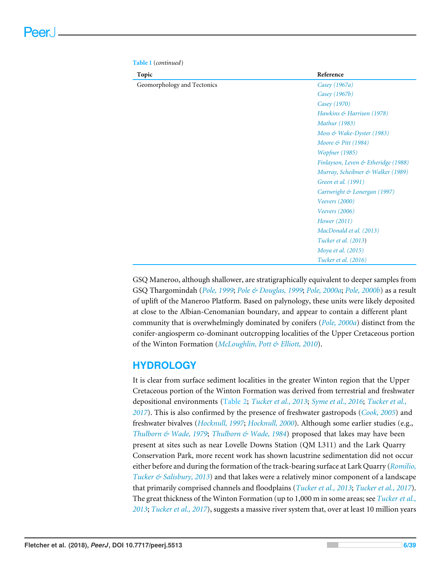| Topic                       | Reference                                      |  |
|-----------------------------|------------------------------------------------|--|
| Geomorphology and Tectonics | Casey (1967a)                                  |  |
|                             | Casey (1967b)                                  |  |
|                             | Casey (1970)                                   |  |
|                             | Hawkins & Harrison (1978)                      |  |
|                             | <b>Mathur</b> (1983)                           |  |
|                             | Moss $\&$ Wake-Dyster (1983)                   |  |
|                             | Moore $\&$ Pitt (1984)                         |  |
|                             | <i>Wopfner</i> (1985)                          |  |
|                             | <i>Finlayson, Leven &amp; Etheridge (1988)</i> |  |
|                             | Murray, Scheibner & Walker (1989)              |  |
|                             | Green et al. (1991)                            |  |
|                             | Cartwright & Lonergan (1997)                   |  |
|                             | Veevers $(2000)$                               |  |
|                             | Veevers (2006)                                 |  |
|                             | Hower (2011)                                   |  |
|                             | MacDonald et al. (2013)                        |  |
|                             | <i>Tucker et al.</i> (2013)                    |  |
|                             | Moya et al. (2015)                             |  |
|                             | Tucker et al. (2016)                           |  |

**Table 1** (*continued*)

GSQ Maneroo, although shallower, are stratigraphically equivalent to deeper samples from GSQ Thargomindah (*[Pole, 1999](#page-34-4)*; *[Pole & Douglas, 1999](#page-34-5)*; *[Pole, 2000a](#page-34-6)*; *[Pole, 2000b](#page-34-7)*) as a result of uplift of the Maneroo Platform. Based on palynology, these units were likely deposited at close to the Albian-Cenomanian boundary, and appear to contain a different plant community that is overwhelmingly dominated by conifers (*[Pole, 2000a](#page-34-6)*) distinct from the conifer-angiosperm co-dominant outcropping localities of the Upper Cretaceous portion of the Winton Formation (*[McLoughlin, Pott & Elliott, 2010](#page-32-2)*).

## **HYDROLOGY**

It is clear from surface sediment localities in the greater Winton region that the Upper Cretaceous portion of the Winton Formation was derived from terrestrial and freshwater depositional environments [\(Table 2;](#page-7-0) *[Tucker et al., 2013](#page-37-0)*; *[Syme et al., 2016](#page-36-4)*; *[Tucker et al.,](#page-36-1) [2017](#page-36-1)*). This is also confirmed by the presence of freshwater gastropods (*[Cook, 2005](#page-27-6)*) and freshwater bivalves (*[Hocknull, 1997](#page-30-0)*; *[Hocknull, 2000](#page-30-1)*). Although some earlier studies (e.g., *[Thulborn & Wade, 1979](#page-36-2)*; *[Thulborn & Wade, 1984](#page-36-3)*) proposed that lakes may have been present at sites such as near Lovelle Downs Station (QM L311) and the Lark Quarry Conservation Park, more recent work has shown lacustrine sedimentation did not occur either before and during the formation of the track-bearing surface at Lark Quarry (*[Romilio,](#page-35-2) [Tucker & Salisbury, 2013](#page-35-2)*) and that lakes were a relatively minor component of a landscape that primarily comprised channels and floodplains (*[Tucker et al., 2013](#page-37-0)*; *[Tucker et al., 2017](#page-36-1)*). The great thickness of the Winton Formation (up to 1,000 m in some areas; see *[Tucker et al.,](#page-37-0) [2013](#page-37-0)*; *[Tucker et al., 2017](#page-36-1)*), suggests a massive river system that, over at least 10 million years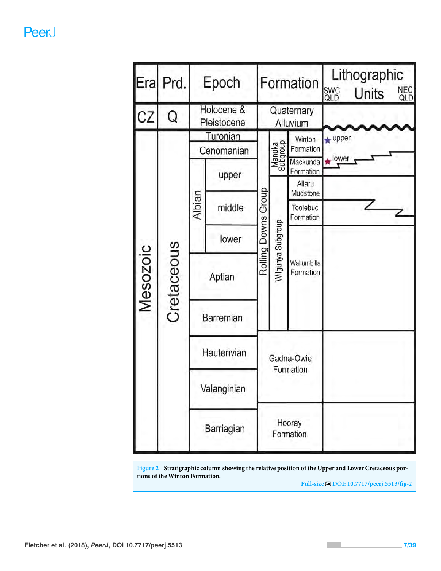<span id="page-6-0"></span>

**Figure 2 Stratigraphic column showing the relative position of the Upper and Lower Cretaceous portions of the Winton Formation.**

**Full-size [DOI: 10.7717/peerj.5513/fig-2](https://doi.org/10.7717/peerj.5513/fig-2)**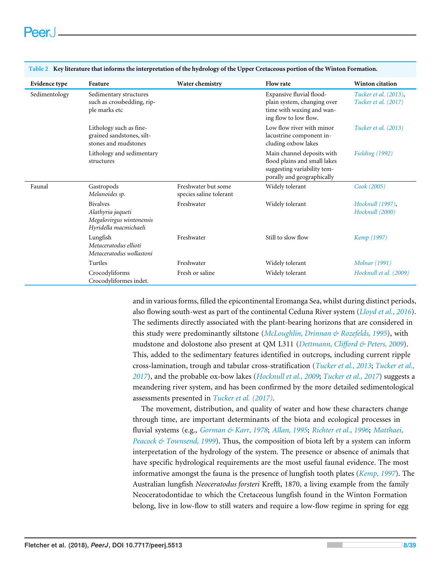| Evidence type | Feature                                                                                   | Water chemistry                                | <b>Flow rate</b>                                                                                                        | <b>Winton citation</b>                        |
|---------------|-------------------------------------------------------------------------------------------|------------------------------------------------|-------------------------------------------------------------------------------------------------------------------------|-----------------------------------------------|
| Sedimentology | Sedimentary structures<br>such as crossbedding, rip-<br>ple marks etc                     |                                                | Expansive fluvial flood-<br>plain system, changing over<br>time with waxing and wan-<br>ing flow to low flow.           | Tucker et al. (2013),<br>Tucker et al. (2017) |
|               | Lithology such as fine-<br>grained sandstones, silt-<br>stones and mudstones              |                                                | Low flow river with minor<br>lacustrine component in-<br>cluding oxbow lakes                                            | <i>Tucker et al.</i> (2013)                   |
|               | Lithology and sedimentary<br>structures                                                   |                                                | Main channel deposits with<br>flood plains and small lakes<br>suggesting variability tem-<br>porally and geographically | Fielding (1992)                               |
| Faunal        | Gastropods<br>Melanoides sp.                                                              | Freshwater but some<br>species saline tolerant | Widely tolerant                                                                                                         | Cook (2005)                                   |
|               | <b>Bivalves</b><br>Alathyria jaqueti<br>Megalovirgus wintonensis<br>Hyridella macmichaeli | Freshwater                                     | Widely tolerant                                                                                                         | Hocknull (1997),<br>Hocknull (2000)           |
|               | Lungfish<br>Metaceratodus ellioti<br>Metaceratodus wollastoni                             | Freshwater                                     | Still to slow flow                                                                                                      | <i>Kemp</i> (1997)                            |
|               | Turtles                                                                                   | Freshwater                                     | Widely tolerant                                                                                                         | <b>Molnar</b> (1991)                          |
|               | Crocodyliforms<br>Crocodyliformes indet.                                                  | Fresh or saline                                | Widely tolerant                                                                                                         | Hocknull et al. (2009)                        |

<span id="page-7-0"></span>**Table 2 Key literature that informs the interpretation of the hydrology of the Upper Cretaceous portion of the Winton Formation.**

and in various forms, filled the epicontinental Eromanga Sea, whilst during distinct periods, also flowing south-west as part of the continental Ceduna River system (*[Lloyd et al., 2016](#page-31-3)*). The sediments directly associated with the plant-bearing horizons that are considered in this study were predominantly siltstone (*[McLoughlin, Drinnan & Rozefelds, 1995](#page-32-0)*), with mudstone and dolostone also present at QM L311 (*[Dettmann, Clifford & Peters, 2009](#page-27-1)*). This, added to the sedimentary features identified in outcrops, including current ripple cross-lamination, trough and tabular cross-stratification (*[Tucker et al., 2013](#page-37-0)*; *[Tucker et al.,](#page-36-1) [2017](#page-36-1)*), and the probable ox-bow lakes (*[Hocknull et al., 2009](#page-30-3)*; *[Tucker et al., 2017](#page-36-1)*) suggests a meandering river system, and has been confirmed by the more detailed sedimentological assessments presented in *[Tucker et al. \(2017\)](#page-36-1)*.

The movement, distribution, and quality of water and how these characters change through time, are important determinants of the biota and ecological processes in fluvial systems (e.g., *[Gorman & Karr, 1978](#page-29-4)*; *[Allan, 1995](#page-25-4)*; *[Richter et al., 1996](#page-35-7)*; *[Matthaei,](#page-32-6) [Peacock & Townsend, 1999](#page-32-6)*). Thus, the composition of biota left by a system can inform interpretation of the hydrology of the system. The presence or absence of animals that have specific hydrological requirements are the most useful faunal evidence. The most informative amongst the fauna is the presence of lungfish tooth plates (*[Kemp, 1997](#page-31-0)*). The Australian lungfish *Neoceratodus forsteri* Krefft, 1870, a living example from the family Neoceratodontidae to which the Cretaceous lungfish found in the Winton Formation belong, live in low-flow to still waters and require a low-flow regime in spring for egg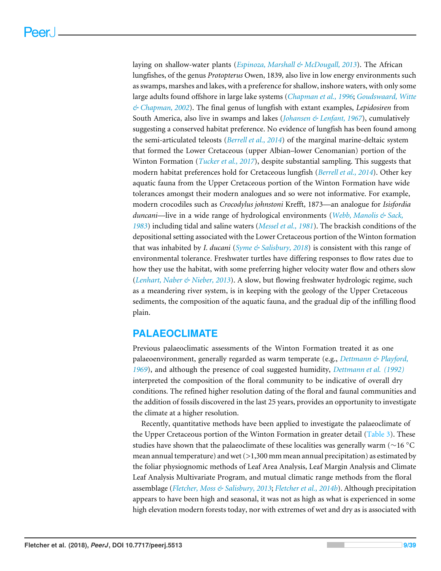laying on shallow-water plants (*[Espinoza, Marshall & McDougall, 2013](#page-28-7)*). The African lungfishes, of the genus *Protopterus* Owen, 1839*,* also live in low energy environments such as swamps, marshes and lakes, with a preference for shallow, inshore waters, with only some large adults found offshore in large lake systems (*[Chapman et al., 1996](#page-27-7)*; *[Goudswaard, Witte](#page-30-10) [& Chapman, 2002](#page-30-10)*). The final genus of lungfish with extant examples, *Lepidosiren* from South America, also live in swamps and lakes (*[Johansen & Lenfant, 1967](#page-31-4)*), cumulatively suggesting a conserved habitat preference. No evidence of lungfish has been found among the semi-articulated teleosts (*[Berrell et al., 2014](#page-25-1)*) of the marginal marine-deltaic system that formed the Lower Cretaceous (upper Albian–lower Cenomanian) portion of the Winton Formation (*[Tucker et al., 2017](#page-36-1)*), despite substantial sampling. This suggests that modern habitat preferences hold for Cretaceous lungfish (*[Berrell et al., 2014](#page-25-1)*). Other key aquatic fauna from the Upper Cretaceous portion of the Winton Formation have wide tolerances amongst their modern analogues and so were not informative. For example, modern crocodiles such as *Crocodylus johnstoni* Krefft, 1873—an analogue for *Isisfordia duncani*—live in a wide range of hydrological environments (*[Webb, Manolis & Sack,](#page-37-7) [1983](#page-37-7)*) including tidal and saline waters (*[Messel et al., 1981](#page-32-7)*). The brackish conditions of the depositional setting associated with the Lower Cretaceous portion of the Winton formation that was inhabited by *I. ducani* (*[Syme & Salisbury, 2018](#page-36-5)*) is consistent with this range of environmental tolerance. Freshwater turtles have differing responses to flow rates due to how they use the habitat, with some preferring higher velocity water flow and others slow (*[Lenhart, Naber & Nieber, 2013](#page-31-5)*). A slow, but flowing freshwater hydrologic regime, such as a meandering river system, is in keeping with the geology of the Upper Cretaceous sediments, the composition of the aquatic fauna, and the gradual dip of the infilling flood plain.

## **PALAEOCLIMATE**

Previous palaeoclimatic assessments of the Winton Formation treated it as one palaeoenvironment, generally regarded as warm temperate (e.g., *[Dettmann & Playford,](#page-28-1) [1969](#page-28-1)*), and although the presence of coal suggested humidity, *[Dettmann et al. \(1992\)](#page-28-2)* interpreted the composition of the floral community to be indicative of overall dry conditions. The refined higher resolution dating of the floral and faunal communities and the addition of fossils discovered in the last 25 years, provides an opportunity to investigate the climate at a higher resolution.

Recently, quantitative methods have been applied to investigate the palaeoclimate of the Upper Cretaceous portion of the Winton Formation in greater detail [\(Table 3\)](#page-9-0). These studies have shown that the palaeoclimate of these localities was generally warm (∼16 ◦C mean annual temperature) and wet  $(>1,300$  mm mean annual precipitation) as estimated by the foliar physiognomic methods of Leaf Area Analysis, Leaf Margin Analysis and Climate Leaf Analysis Multivariate Program, and mutual climatic range methods from the floral assemblage (*[Fletcher, Moss & Salisbury, 2013](#page-29-5)*; *[Fletcher et al., 2014b](#page-29-6)*). Although precipitation appears to have been high and seasonal, it was not as high as what is experienced in some high elevation modern forests today, nor with extremes of wet and dry as is associated with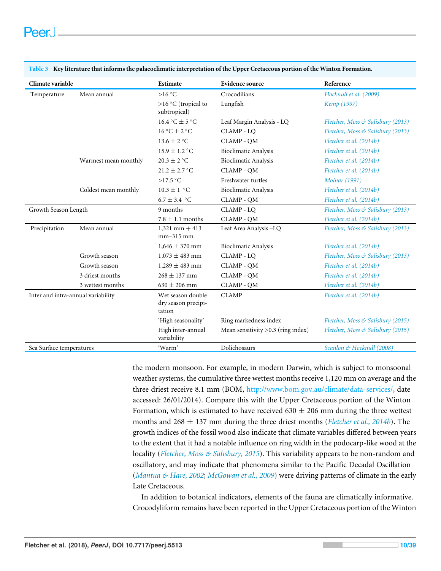| Climate variable                   |                      | Estimate                                           | <b>Evidence source</b>               | Reference                         |
|------------------------------------|----------------------|----------------------------------------------------|--------------------------------------|-----------------------------------|
| Temperature                        | Mean annual          | $>16\degree C$                                     | Crocodilians                         | Hocknull et al. (2009)            |
|                                    |                      | >16 °C (tropical to<br>subtropical)                | Lungfish                             | Kemp (1997)                       |
|                                    |                      | $16.4\text{ °C} \pm 5\text{ °C}$                   | Leaf Margin Analysis - LQ            | Fletcher, Moss & Salisbury (2013) |
|                                    |                      | $16^{\circ}$ C $\pm$ 2 $^{\circ}$ C                | CLAMP - LQ                           | Fletcher, Moss & Salisbury (2013) |
|                                    |                      | $13.6 \pm 2$ °C                                    | <b>CLAMP - OM</b>                    | Fletcher et al. (2014b)           |
|                                    |                      | $15.9 \pm 1.2$ °C                                  | <b>Bioclimatic Analysis</b>          | Fletcher et al. (2014b)           |
|                                    | Warmest mean monthly | $20.3 \pm 2$ °C                                    | <b>Bioclimatic Analysis</b>          | Fletcher et al. (2014b)           |
|                                    |                      | $21.2 \pm 2.7$ °C                                  | CLAMP - QM                           | Fletcher et al. (2014b)           |
|                                    |                      | $>17.5$ °C                                         | Freshwater turtles                   | <b>Molnar</b> (1991)              |
|                                    | Coldest mean monthly | $10.3 \pm 1$ °C                                    | <b>Bioclimatic Analysis</b>          | Fletcher et al. (2014b)           |
|                                    |                      | $6.7 \pm 3.4$ °C                                   | CLAMP - QM                           | Fletcher et al. (2014b)           |
| Growth Season Length               |                      | 9 months                                           | CLAMP - LQ                           | Fletcher, Moss & Salisbury (2013) |
|                                    |                      | $7.8 \pm 1.1$ months                               | CLAMP - QM                           | Fletcher et al. (2014b)           |
| Precipitation                      | Mean annual          | $1,321$ mm $+413$<br>$mm-315$ mm                   | Leaf Area Analysis-LQ                | Fletcher, Moss & Salisbury (2013) |
|                                    |                      | $1,646 \pm 370$ mm                                 | <b>Bioclimatic Analysis</b>          | Fletcher et al. (2014b)           |
|                                    | Growth season        | $1,073 \pm 483$ mm                                 | CLAMP - LO                           | Fletcher, Moss & Salisbury (2013) |
|                                    | Growth season        | $1,289 \pm 483$ mm                                 | CLAMP - QM                           | Fletcher et al. (2014b)           |
|                                    | 3 driest months      | $268 \pm 137$ mm                                   | <b>CLAMP - OM</b>                    | Fletcher et al. (2014b)           |
|                                    | 3 wettest months     | $630 \pm 206$ mm                                   | CLAMP - QM                           | Fletcher et al. (2014b)           |
| Inter and intra-annual variability |                      | Wet season double<br>dry season precipi-<br>tation | <b>CLAMP</b>                         | Fletcher et al. (2014b)           |
|                                    |                      | 'High seasonality'                                 | Ring markedness index                | Fletcher, Moss & Salisbury (2015) |
|                                    |                      | High inter-annual<br>variability                   | Mean sensitivity $>0.3$ (ring index) | Fletcher, Moss & Salisbury (2015) |
| Sea Surface temperatures           |                      | 'Warm'                                             | Dolichosaurs                         | Scanlon & Hocknull (2008)         |

<span id="page-9-0"></span>**Table 3 Key literature that informs the palaeoclimatic interpretation of the Upper Cretaceous portion of the Winton Formation.**

the modern monsoon. For example, in modern Darwin, which is subject to monsoonal weather systems, the cumulative three wettest months receive 1,120 mm on average and the three driest receive 8.1 mm (BOM, [http://www.bom.gov.au/climate/data-services/,](http://www.bom.gov.au/climate/data-services/) date accessed: 26/01/2014). Compare this with the Upper Cretaceous portion of the Winton Formation, which is estimated to have received  $630 \pm 206$  mm during the three wettest months and  $268 \pm 137$  mm during the three driest months (*[Fletcher et al., 2014b](#page-29-6)*). The growth indices of the fossil wood also indicate that climate variables differed between years to the extent that it had a notable influence on ring width in the podocarp-like wood at the locality (*[Fletcher, Moss & Salisbury, 2015](#page-29-7)*). This variability appears to be non-random and oscillatory, and may indicate that phenomena similar to the Pacific Decadal Oscillation (*[Mantua & Hare, 2002](#page-31-6)*; *[McGowan et al., 2009](#page-32-8)*) were driving patterns of climate in the early Late Cretaceous.

In addition to botanical indicators, elements of the fauna are climatically informative. Crocodyliform remains have been reported in the Upper Cretaceous portion of the Winton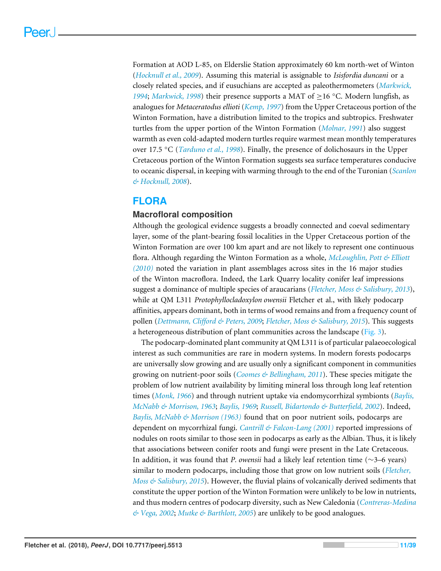Formation at AOD L-85, on Elderslie Station approximately 60 km north-wet of Winton (*[Hocknull et al., 2009](#page-30-3)*). Assuming this material is assignable to *Isisfordia duncani* or a closely related species, and if eusuchians are accepted as paleothermometers (*[Markwick,](#page-32-9) [1994](#page-32-9)*; *[Markwick, 1998](#page-32-10)*) their presence supports a MAT of ≥16 ◦C. Modern lungfish, as analogues for *Metaceratodus ellioti* (*[Kemp, 1997](#page-31-0)*) from the Upper Cretaceous portion of the Winton Formation, have a distribution limited to the tropics and subtropics. Freshwater turtles from the upper portion of the Winton Formation (*[Molnar, 1991](#page-32-5)*) also suggest warmth as even cold-adapted modern turtles require warmest mean monthly temperatures over 17.5 ◦C (*[Tarduno et al., 1998](#page-36-6)*). Finally, the presence of dolichosaurs in the Upper Cretaceous portion of the Winton Formation suggests sea surface temperatures conducive to oceanic dispersal, in keeping with warming through to the end of the Turonian (*[Scanlon](#page-35-0) [& Hocknull, 2008](#page-35-0)*).

## **FLORA**

## **Macrofloral composition**

Although the geological evidence suggests a broadly connected and coeval sedimentary layer, some of the plant-bearing fossil localities in the Upper Cretaceous portion of the Winton Formation are over 100 km apart and are not likely to represent one continuous flora. Although regarding the Winton Formation as a whole, *[McLoughlin, Pott & Elliott](#page-32-2) [\(2010\)](#page-32-2)* noted the variation in plant assemblages across sites in the 16 major studies of the Winton macroflora. Indeed, the Lark Quarry locality conifer leaf impressions suggest a dominance of multiple species of araucarians (*[Fletcher, Moss & Salisbury, 2013](#page-29-5)*), while at QM L311 *Protophyllocladoxylon owensii* Fletcher et al., with likely podocarp affinities, appears dominant, both in terms of wood remains and from a frequency count of pollen (*[Dettmann, Clifford & Peters, 2009](#page-27-1)*; *[Fletcher, Moss & Salisbury, 2015](#page-29-7)*). This suggests a heterogeneous distribution of plant communities across the landscape [\(Fig. 3\)](#page-11-0).

The podocarp-dominated plant community at QM L311 is of particular palaeoecological interest as such communities are rare in modern systems. In modern forests podocarps are universally slow growing and are usually only a significant component in communities growing on nutrient-poor soils (*[Coomes & Bellingham, 2011](#page-27-8)*). These species mitigate the problem of low nutrient availability by limiting mineral loss through long leaf retention times (*[Monk, 1966](#page-33-7)*) and through nutrient uptake via endomycorrhizal symbionts (*[Baylis,](#page-25-5) [McNabb & Morrison, 1963](#page-25-5)*; *[Baylis, 1969](#page-25-6)*; *[Russell, Bidartondo & Butterfield, 2002](#page-35-8)*). Indeed, *[Baylis, McNabb & Morrison \(1963\)](#page-25-5)* found that on poor nutrient soils, podocarps are dependent on mycorrhizal fungi. *[Cantrill & Falcon-Lang \(2001\)](#page-26-11)* reported impressions of nodules on roots similar to those seen in podocarps as early as the Albian. Thus, it is likely that associations between conifer roots and fungi were present in the Late Cretaceous. In addition, it was found that *P. owensii* had a likely leaf retention time (∼3–6 years) similar to modern podocarps, including those that grow on low nutrient soils (*[Fletcher,](#page-29-7) [Moss & Salisbury, 2015](#page-29-7)*). However, the fluvial plains of volcanically derived sediments that constitute the upper portion of the Winton Formation were unlikely to be low in nutrients, and thus modern centres of podocarp diversity, such as New Caledonia (*[Contreras-Medina](#page-27-9) [& Vega, 2002](#page-27-9)*; *[Mutke & Barthlott, 2005](#page-33-8)*) are unlikely to be good analogues.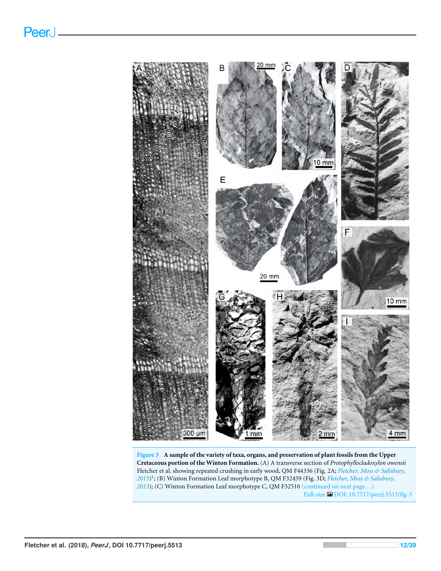<span id="page-11-0"></span>

**Figure 3 A sample of the variety of taxa, organs, and preservation of plant fossils from the Upper Cretaceous portion of the Winton Formation.** (A) A transverse section of *Protophyllocladoxylon owensii* Fletcher et al. showing repeated crushing in early wood, QM F44336 (Fig. 2A; *[Fletcher, Moss & Salisbury,](#page-29-7) [2015](#page-29-7)*) 1 ; (B) Winton Formation Leaf morphotype B, QM F32459 (Fig. 3D; *[Fletcher, Moss & Salisbury,](#page-29-5)* [2013](#page-29-5)); (C) Winton Formation Leaf morphotype C, QM F32510 (continued on next page...) Full-size [DOI: 10.7717/peerj.5513/fig-3](https://doi.org/10.7717/peerj.5513/fig-3)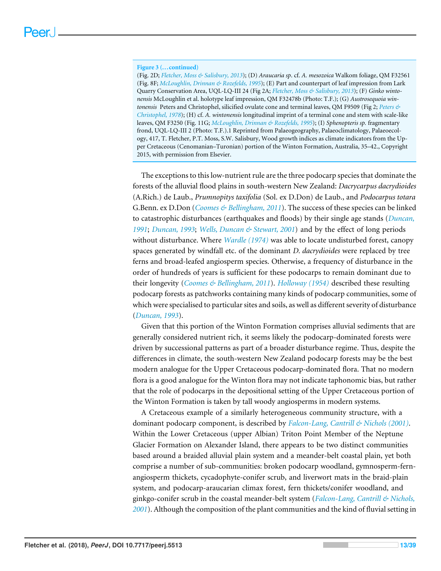#### **Figure 3 (...continued)**

(Fig. 2D; *[Fletcher, Moss & Salisbury, 2013](#page-29-5)*); (D) *Araucaria sp*. cf. *A. mesozoica* Walkom foliage, QM F32561 (Fig. 8F; *[McLoughlin, Drinnan & Rozefelds, 1995](#page-32-0)*); (E) Part and counterpart of leaf impression from Lark Quarry Conservation Area, UQL-LQ-III 24 (Fig 2A; *[Fletcher, Moss & Salisbury, 2013](#page-29-5)*); (F) *Ginko wintonensis* McLoughlin et al. holotype leaf impression, QM F32478b (Photo: T.F.); (G) *Austrosequoia wintonensis* Peters and Christophel, silicified ovulate cone and terminal leaves, QM F9509 (Fig 2; *[Peters &](#page-34-3) [Christophel, 1978](#page-34-3)*); (H) cf. *A. wintonensis* longitudinal imprint of a terminal cone and stem with scale-like leaves, QM F3250 (Fig. 11G; *[McLoughlin, Drinnan & Rozefelds, 1995](#page-32-0)*); (I) *Sphenopteris sp.* fragmentary frond, UQL-LQ-III 2 (Photo: T.F.).1 Reprinted from Palaeogeography, Palaeoclimatology, Palaeoecology, 417, T. Fletcher, P.T. Moss, S.W. Salisbury, Wood growth indices as climate indicators from the Upper Cretaceous (Cenomanian–Turonian) portion of the Winton Formation, Australia, 35–42., Copyright 2015, with permission from Elsevier.

The exceptions to this low-nutrient rule are the three podocarp species that dominate the forests of the alluvial flood plains in south-western New Zealand: *Dacrycarpus dacrydioides* (A.Rich.) de Laub., *Prumnopitys taxifolia* (Sol. ex D.Don) de Laub., and *Podocarpus totara* G.Benn. ex D.Don (*[Coomes & Bellingham, 2011](#page-27-8)*). The success of these species can be linked to catastrophic disturbances (earthquakes and floods) by their single age stands (*[Duncan,](#page-28-8) [1991](#page-28-8)*; *[Duncan, 1993](#page-28-9)*; *[Wells, Duncan & Stewart, 2001](#page-37-8)*) and by the effect of long periods without disturbance. Where *[Wardle \(1974\)](#page-37-9)* was able to locate undisturbed forest, canopy spaces generated by windfall etc. of the dominant *D. dacrydioides* were replaced by tree ferns and broad-leafed angiosperm species. Otherwise, a frequency of disturbance in the order of hundreds of years is sufficient for these podocarps to remain dominant due to their longevity (*[Coomes & Bellingham, 2011](#page-27-8)*). *[Holloway \(1954\)](#page-30-11)* described these resulting podocarp forests as patchworks containing many kinds of podocarp communities, some of which were specialised to particular sites and soils, as well as different severity of disturbance (*[Duncan, 1993](#page-28-9)*).

Given that this portion of the Winton Formation comprises alluvial sediments that are generally considered nutrient rich, it seems likely the podocarp-dominated forests were driven by successional patterns as part of a broader disturbance regime. Thus, despite the differences in climate, the south-western New Zealand podocarp forests may be the best modern analogue for the Upper Cretaceous podocarp-dominated flora. That no modern flora is a good analogue for the Winton flora may not indicate taphonomic bias, but rather that the role of podocarps in the depositional setting of the Upper Cretaceous portion of the Winton Formation is taken by tall woody angiosperms in modern systems.

A Cretaceous example of a similarly heterogeneous community structure, with a dominant podocarp component, is described by *[Falcon-Lang, Cantrill & Nichols \(2001\)](#page-28-10)*. Within the Lower Cretaceous (upper Albian) Triton Point Member of the Neptune Glacier Formation on Alexander Island, there appears to be two distinct communities based around a braided alluvial plain system and a meander-belt coastal plain, yet both comprise a number of sub-communities: broken podocarp woodland, gymnosperm-fernangiosperm thickets, cycadophyte-conifer scrub, and liverwort mats in the braid-plain system, and podocarp-araucarian climax forest, fern thickets/conifer woodland, and ginkgo-conifer scrub in the coastal meander-belt system (*[Falcon-Lang, Cantrill & Nichols,](#page-28-10) [2001](#page-28-10)*). Although the composition of the plant communities and the kind of fluvial setting in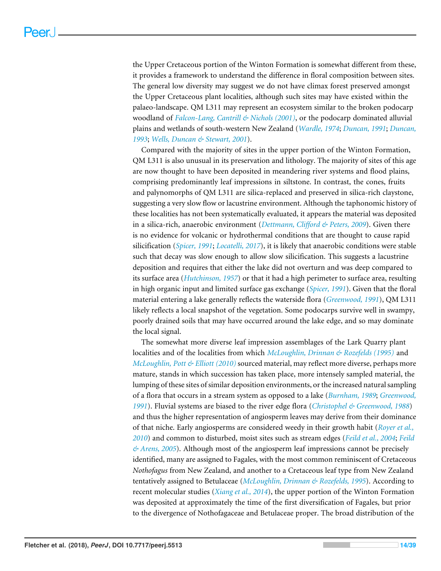the Upper Cretaceous portion of the Winton Formation is somewhat different from these, it provides a framework to understand the difference in floral composition between sites. The general low diversity may suggest we do not have climax forest preserved amongst the Upper Cretaceous plant localities, although such sites may have existed within the palaeo-landscape. QM L311 may represent an ecosystem similar to the broken podocarp woodland of *[Falcon-Lang, Cantrill & Nichols \(2001\)](#page-28-10)*, or the podocarp dominated alluvial plains and wetlands of south-western New Zealand (*[Wardle, 1974](#page-37-9)*; *[Duncan, 1991](#page-28-8)*; *[Duncan,](#page-28-9) [1993](#page-28-9)*; *[Wells, Duncan & Stewart, 2001](#page-37-8)*).

Compared with the majority of sites in the upper portion of the Winton Formation, QM L311 is also unusual in its preservation and lithology. The majority of sites of this age are now thought to have been deposited in meandering river systems and flood plains, comprising predominantly leaf impressions in siltstone. In contrast, the cones, fruits and palynomorphs of QM L311 are silica-replaced and preserved in silica-rich claystone, suggesting a very slow flow or lacustrine environment. Although the taphonomic history of these localities has not been systematically evaluated, it appears the material was deposited in a silica-rich, anaerobic environment (*[Dettmann, Clifford & Peters, 2009](#page-27-1)*). Given there is no evidence for volcanic or hydrothermal conditions that are thought to cause rapid silicification (*[Spicer, 1991](#page-36-7)*; *[Locatelli, 2017](#page-31-7)*), it is likely that anaerobic conditions were stable such that decay was slow enough to allow slow silicification. This suggests a lacustrine deposition and requires that either the lake did not overturn and was deep compared to its surface area (*[Hutchinson, 1957](#page-30-12)*) or that it had a high perimeter to surface area, resulting in high organic input and limited surface gas exchange (*[Spicer, 1991](#page-36-7)*). Given that the floral material entering a lake generally reflects the waterside flora (*[Greenwood, 1991](#page-30-13)*), QM L311 likely reflects a local snapshot of the vegetation. Some podocarps survive well in swampy, poorly drained soils that may have occurred around the lake edge, and so may dominate the local signal.

The somewhat more diverse leaf impression assemblages of the Lark Quarry plant localities and of the localities from which *[McLoughlin, Drinnan & Rozefelds \(1995\)](#page-32-0)* and *[McLoughlin, Pott & Elliott \(2010\)](#page-32-2)* sourced material, may reflect more diverse, perhaps more mature, stands in which succession has taken place, more intensely sampled material, the lumping of these sites of similar deposition environments, or the increased natural sampling of a flora that occurs in a stream system as opposed to a lake (*[Burnham, 1989](#page-26-12)*; *[Greenwood,](#page-30-13) [1991](#page-30-13)*). Fluvial systems are biased to the river edge flora (*[Christophel & Greenwood, 1988](#page-27-10)*) and thus the higher representation of angiosperm leaves may derive from their dominance of that niche. Early angiosperms are considered weedy in their growth habit (*[Royer et al.,](#page-35-9) [2010](#page-35-9)*) and common to disturbed, moist sites such as stream edges (*[Feild et al., 2004](#page-28-11)*; *[Feild](#page-28-12) [& Arens, 2005](#page-28-12)*). Although most of the angiosperm leaf impressions cannot be precisely identified, many are assigned to Fagales, with the most common reminiscent of Cretaceous *Nothofagus* from New Zealand, and another to a Cretaceous leaf type from New Zealand tentatively assigned to Betulaceae (*[McLoughlin, Drinnan & Rozefelds, 1995](#page-32-0)*). According to recent molecular studies (*[Xiang et al., 2014](#page-38-4)*), the upper portion of the Winton Formation was deposited at approximately the time of the first diversification of Fagales, but prior to the divergence of Nothofagaceae and Betulaceae proper. The broad distribution of the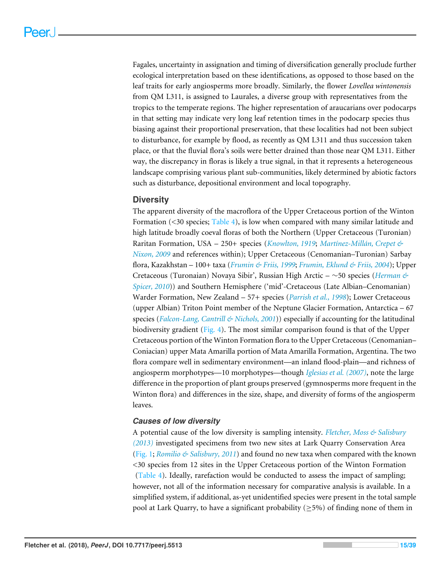Fagales, uncertainty in assignation and timing of diversification generally proclude further ecological interpretation based on these identifications, as opposed to those based on the leaf traits for early angiosperms more broadly. Similarly, the flower *Lovellea wintonensis* from QM L311, is assigned to Laurales, a diverse group with representatives from the tropics to the temperate regions. The higher representation of araucarians over podocarps in that setting may indicate very long leaf retention times in the podocarp species thus biasing against their proportional preservation, that these localities had not been subject to disturbance, for example by flood, as recently as QM L311 and thus succession taken place, or that the fluvial flora's soils were better drained than those near QM L311. Either way, the discrepancy in floras is likely a true signal, in that it represents a heterogeneous landscape comprising various plant sub-communities, likely determined by abiotic factors such as disturbance, depositional environment and local topography.

## **Diversity**

The apparent diversity of the macroflora of the Upper Cretaceous portion of the Winton Formation (<30 species; [Table 4\)](#page-15-0), is low when compared with many similar latitude and high latitude broadly coeval floras of both the Northern (Upper Cretaceous (Turonian) Raritan Formation, USA – 250+ species (*[Knowlton, 1919](#page-31-8)*; *[Martínez-Millán, Crepet &](#page-32-11) [Nixon, 2009](#page-32-11)* and references within); Upper Cretaceous (Cenomanian–Turonian) Sarbay flora, Kazakhstan – 100+ taxa (*[Frumin & Friis, 1999](#page-29-8)*; *[Frumin, Eklund & Friis, 2004](#page-29-9)*); Upper Cretaceous (Turonaian) Novaya Sibir', Russian High Arctic – ∼50 species (*[Herman &](#page-30-14) [Spicer, 2010](#page-30-14)*)) and Southern Hemisphere ('mid'-Cretaceous (Late Albian–Cenomanian) Warder Formation, New Zealand – 57+ species (*[Parrish et al., 1998](#page-33-9)*); Lower Cretaceous (upper Albian) Triton Point member of the Neptune Glacier Formation, Antarctica – 67 species (*[Falcon-Lang, Cantrill & Nichols, 2001](#page-28-10)*)) especially if accounting for the latitudinal biodiversity gradient [\(Fig. 4\)](#page-17-0). The most similar comparison found is that of the Upper Cretaceous portion of the Winton Formation flora to the Upper Cretaceous (Cenomanian– Coniacian) upper Mata Amarilla portion of Mata Amarilla Formation, Argentina. The two flora compare well in sedimentary environment—an inland flood-plain—and richness of angiosperm morphotypes—10 morphotypes—though *[Iglesias et al. \(2007\)](#page-30-15)*, note the large difference in the proportion of plant groups preserved (gymnosperms more frequent in the Winton flora) and differences in the size, shape, and diversity of forms of the angiosperm leaves.

#### *Causes of low diversity*

A potential cause of the low diversity is sampling intensity. *[Fletcher, Moss & Salisbury](#page-29-5) [\(2013\)](#page-29-5)* investigated specimens from two new sites at Lark Quarry Conservation Area [\(Fig. 1;](#page-3-0) *[Romilio & Salisbury, 2011](#page-35-1)*) and found no new taxa when compared with the known <30 species from 12 sites in the Upper Cretaceous portion of the Winton Formation [\(Table 4\)](#page-15-0). Ideally, rarefaction would be conducted to assess the impact of sampling; however, not all of the information necessary for comparative analysis is available. In a simplified system, if additional, as-yet unidentified species were present in the total sample pool at Lark Quarry, to have a significant probability ( $\geq$ 5%) of finding none of them in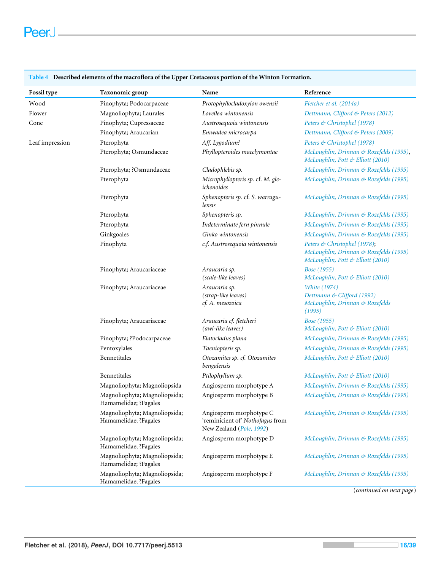## 

| Fossil type     | Taxonomic group                                        | Name                                                                                    | Reference                                                                                                   |
|-----------------|--------------------------------------------------------|-----------------------------------------------------------------------------------------|-------------------------------------------------------------------------------------------------------------|
| Wood            | Pinophyta; Podocarpaceae                               | Protophyllocladoxylon owensii                                                           | Fletcher et al. (2014a)                                                                                     |
| Flower          | Magnoliophyta; Laurales                                | Lovellea wintonensis                                                                    | Dettmann, Clifford & Peters (2012)                                                                          |
| Cone            | Pinophyta; Cupressaceae                                | Austrosequoia wintonensis                                                               | Peters & Christophel (1978)                                                                                 |
|                 | Pinophyta; Araucarian                                  | Emwadea microcarpa                                                                      | Dettmann, Clifford & Peters (2009)                                                                          |
| Leaf impression | Pterophyta                                             | Aff. Lygodium?                                                                          | Peters & Christophel (1978)                                                                                 |
|                 | Pterophyta; Osmundaceae                                | Phyllopteroides macclymontae                                                            | McLoughlin, Drinnan & Rozefelds (1995),<br>McLoughlin, Pott & Elliott (2010)                                |
|                 | Pterophyta; ?Osmundaceae                               | Cladophlebis sp.                                                                        | McLoughlin, Drinnan & Rozefelds (1995)                                                                      |
|                 | Pterophyta                                             | Microphyllopteris sp. cf. M. gle-<br>ichenoides                                         | McLoughlin, Drinnan & Rozefelds (1995)                                                                      |
|                 | Pterophyta                                             | Sphenopteris sp. cf. S. warragu-<br>lensis                                              | McLoughlin, Drinnan & Rozefelds (1995)                                                                      |
|                 | Pterophyta                                             | Sphenopteris sp.                                                                        | McLoughlin, Drinnan & Rozefelds (1995)                                                                      |
|                 | Pterophyta                                             | Indeterminate fern pinnule                                                              | McLoughlin, Drinnan & Rozefelds (1995)                                                                      |
|                 | Ginkgoales                                             | Ginko wintonensis                                                                       | McLoughlin, Drinnan & Rozefelds (1995)                                                                      |
|                 | Pinophyta                                              | c.f. Austrosequoia wintonensis                                                          | Peters & Christophel (1978);<br>McLoughlin, Drinnan & Rozefelds (1995)<br>McLoughlin, Pott & Elliott (2010) |
|                 | Pinophyta; Araucariaceae                               | Araucaria sp.<br>(scale-like leaves)                                                    | Bose (1955)<br>McLoughlin, Pott & Elliott (2010)                                                            |
|                 | Pinophyta; Araucariaceae                               | Araucaria sp.<br>(strap-like leaves)<br>cf. A. mesozoica                                | <b>White</b> (1974)<br>Dettmann & Clifford (1992)<br>McLoughlin, Drinnan & Rozefelds<br>(1995)              |
|                 | Pinophyta; Araucariaceae                               | Araucaria cf. fletcheri<br>(awl-like leaves)                                            | Bose (1955)<br>McLoughlin, Pott & Elliott (2010)                                                            |
|                 | Pinophyta; ?Podocarpaceae                              | Elatocladus plana                                                                       | McLoughlin, Drinnan & Rozefelds (1995)                                                                      |
|                 | Pentoxylales                                           | Taeniopteris sp.                                                                        | McLoughlin, Drinnan & Rozefelds (1995)                                                                      |
|                 | Bennetitales                                           | Otozamites sp. cf. Otozamites<br>bengalensis                                            | McLoughlin, Pott & Elliott (2010)                                                                           |
|                 | Bennetitales                                           | Ptilophyllum sp.                                                                        | McLoughlin, Pott & Elliott (2010)                                                                           |
|                 | Magnoliophyta; Magnoliopsida                           | Angiosperm morphotype A                                                                 | McLoughlin, Drinnan & Rozefelds (1995)                                                                      |
|                 | Magnoliophyta; Magnoliopsida;<br>Hamamelidae; ?Fagales | Angiosperm morphotype B                                                                 | McLoughlin, Drinnan & Rozefelds (1995)                                                                      |
|                 | Magnoliophyta; Magnoliopsida;<br>Hamamelidae; ?Fagales | Angiosperm morphotype C<br>'reminicient of' Nothofagus from<br>New Zealand (Pole, 1992) | McLoughlin, Drinnan & Rozefelds (1995)                                                                      |
|                 | Magnoliophyta; Magnoliopsida;<br>Hamamelidae; ?Fagales | Angiosperm morphotype D                                                                 | McLoughlin, Drinnan & Rozefelds (1995)                                                                      |
|                 | Magnoliophyta; Magnoliopsida;<br>Hamamelidae; ?Fagales | Angiosperm morphotype E                                                                 | McLoughlin, Drinnan & Rozefelds (1995)                                                                      |
|                 | Magnoliophyta; Magnoliopsida;<br>Hamamelidae; ?Fagales | Angiosperm morphotype F                                                                 | McLoughlin, Drinnan & Rozefelds (1995)                                                                      |

<span id="page-15-0"></span>**Table 4 Described elements of the macroflora of the Upper Cretaceous portion of the Winton Formation.**

(*continued on next page*)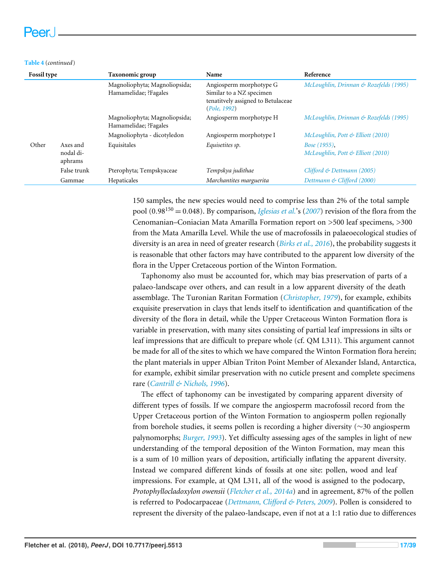#### **Table 4** (*continued*)

| <b>Fossil type</b> |                      | Taxonomic group                                        | Name                                                                                                      | Reference                              |
|--------------------|----------------------|--------------------------------------------------------|-----------------------------------------------------------------------------------------------------------|----------------------------------------|
|                    |                      | Magnoliophyta; Magnoliopsida;<br>Hamamelidae; ?Fagales | Angiosperm morphotype G<br>Similar to a NZ specimen<br>tenatitvely assigned to Betulaceae<br>(Pole, 1992) | McLoughlin, Drinnan & Rozefelds (1995) |
|                    |                      | Magnoliophyta; Magnoliopsida;<br>Hamamelidae; ?Fagales | Angiosperm morphotype H                                                                                   | McLoughlin, Drinnan & Rozefelds (1995) |
|                    |                      | Magnoliophyta - dicotyledon                            | Angiosperm morphotype I                                                                                   | McLoughlin, Pott & Elliott (2010)      |
| Other              | Axes and             | Equisitales                                            | Equisetites sp.                                                                                           | <i>Bose</i> (1955).                    |
|                    | nodal di-<br>aphrams |                                                        |                                                                                                           | McLoughlin, Pott & Elliott (2010)      |
|                    | False trunk          | Pterophyta; Tempskyaceae                               | Tempskya judithae                                                                                         | Clifford & Dettmann (2005)             |
|                    | Gammae               | Hepaticales                                            | Marchantites marguerita                                                                                   | Dettmann & Clifford (2000)             |

150 samples, the new species would need to comprise less than 2% of the total sample pool (0.98<sup>150</sup> = 0.048). By comparison, *[Iglesias et al.](#page-30-15)*'s (*[2007](#page-30-15)*) revision of the flora from the Cenomanian–Coniacian Mata Amarilla Formation report on >500 leaf specimens, >300 from the Mata Amarilla Level. While the use of macrofossils in palaeoecological studies of diversity is an area in need of greater research (*[Birks et al., 2016](#page-25-7)*), the probability suggests it is reasonable that other factors may have contributed to the apparent low diversity of the flora in the Upper Cretaceous portion of the Winton Formation.

Taphonomy also must be accounted for, which may bias preservation of parts of a palaeo-landscape over others, and can result in a low apparent diversity of the death assemblage. The Turonian Raritan Formation (*[Christopher, 1979](#page-27-11)*), for example, exhibits exquisite preservation in clays that lends itself to identification and quantification of the diversity of the flora in detail, while the Upper Cretaceous Winton Formation flora is variable in preservation, with many sites consisting of partial leaf impressions in silts or leaf impressions that are difficult to prepare whole (cf. QM L311). This argument cannot be made for all of the sites to which we have compared the Winton Formation flora herein; the plant materials in upper Albian Triton Point Member of Alexander Island, Antarctica, for example, exhibit similar preservation with no cuticle present and complete specimens rare (*[Cantrill & Nichols, 1996](#page-26-13)*).

The effect of taphonomy can be investigated by comparing apparent diversity of different types of fossils. If we compare the angiosperm macrofossil record from the Upper Cretaceous portion of the Winton Formation to angiosperm pollen regionally from borehole studies, it seems pollen is recording a higher diversity (∼30 angiosperm palynomorphs; *[Burger, 1993](#page-26-3)*). Yet difficulty assessing ages of the samples in light of new understanding of the temporal deposition of the Winton Formation, may mean this is a sum of 10 million years of deposition, artificially inflating the apparent diversity. Instead we compared different kinds of fossils at one site: pollen, wood and leaf impressions. For example, at QM L311, all of the wood is assigned to the podocarp, *Protophyllocladoxylon owensii* (*[Fletcher et al., 2014a](#page-29-1)*) and in agreement, 87% of the pollen is referred to Podocarpaceae (*[Dettmann, Clifford & Peters, 2009](#page-27-1)*). Pollen is considered to represent the diversity of the palaeo-landscape, even if not at a 1:1 ratio due to differences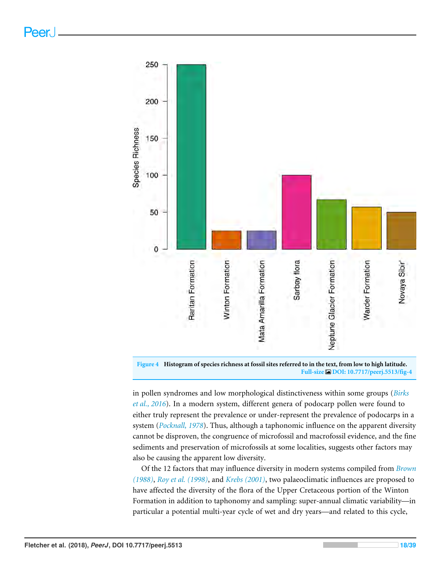<span id="page-17-0"></span>



in pollen syndromes and low morphological distinctiveness within some groups (*[Birks](#page-25-7) [et al., 2016](#page-25-7)*). In a modern system, different genera of podocarp pollen were found to either truly represent the prevalence or under-represent the prevalence of podocarps in a system (*[Pocknall, 1978](#page-34-9)*). Thus, although a taphonomic influence on the apparent diversity cannot be disproven, the congruence of microfossil and macrofossil evidence, and the fine sediments and preservation of microfossils at some localities, suggests other factors may also be causing the apparent low diversity.

Of the 12 factors that may influence diversity in modern systems compiled from *[Brown](#page-25-8) [\(1988\)](#page-25-8)*, *[Roy et al. \(1998\)](#page-35-10)*, and *[Krebs \(2001\)](#page-31-9)*, two palaeoclimatic influences are proposed to have affected the diversity of the flora of the Upper Cretaceous portion of the Winton Formation in addition to taphonomy and sampling: super-annual climatic variability—in particular a potential multi-year cycle of wet and dry years—and related to this cycle,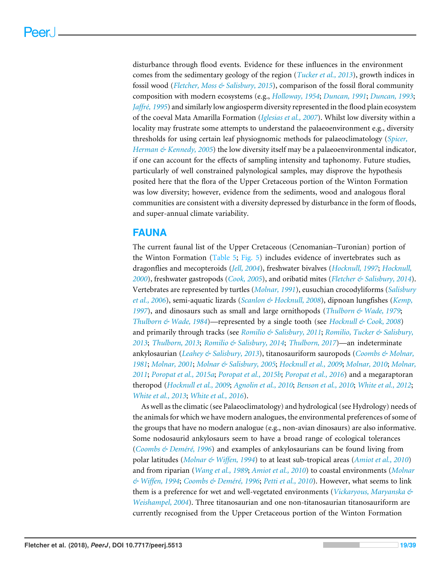disturbance through flood events. Evidence for these influences in the environment comes from the sedimentary geology of the region (*[Tucker et al., 2013](#page-37-0)*), growth indices in fossil wood (*[Fletcher, Moss & Salisbury, 2015](#page-29-7)*), comparison of the fossil floral community composition with modern ecosystems (e.g., *[Holloway, 1954](#page-30-11)*; *[Duncan, 1991](#page-28-8)*; *[Duncan, 1993](#page-28-9)*; *[Jaffré, 1995](#page-31-10)*) and similarly low angiosperm diversity represented in the flood plain ecosystem of the coeval Mata Amarilla Formation (*[Iglesias et al., 2007](#page-30-15)*). Whilst low diversity within a locality may frustrate some attempts to understand the palaeoenvironment e.g., diversity thresholds for using certain leaf physiognomic methods for palaeoclimatology (*[Spicer,](#page-36-8) [Herman & Kennedy, 2005](#page-36-8)*) the low diversity itself may be a palaeoenvironmental indicator, if one can account for the effects of sampling intensity and taphonomy. Future studies, particularly of well constrained palynological samples, may disprove the hypothesis posited here that the flora of the Upper Cretaceous portion of the Winton Formation was low diversity; however, evidence from the sediments, wood and analogous floral communities are consistent with a diversity depressed by disturbance in the form of floods, and super-annual climate variability.

## **FAUNA**

The current faunal list of the Upper Cretaceous (Cenomanian–Turonian) portion of the Winton Formation [\(Table 5;](#page-19-0) [Fig. 5\)](#page-20-0) includes evidence of invertebrates such as dragonflies and mecopteroids (*[Jell, 2004](#page-31-11)*), freshwater bivalves (*[Hocknull, 1997](#page-30-0)*; *[Hocknull,](#page-30-1) [2000](#page-30-1)*), freshwater gastropods (*[Cook, 2005](#page-27-6)*), and oribatid mites (*[Fletcher & Salisbury, 2014](#page-29-0)*). Vertebrates are represented by turtles (*[Molnar, 1991](#page-32-5)*), eusuchian crocodyliforms (*[Salisbury](#page-35-5) [et al., 2006](#page-35-5)*), semi-aquatic lizards (*[Scanlon & Hocknull, 2008](#page-35-0)*), dipnoan lungfishes (*[Kemp,](#page-31-0) [1997](#page-31-0)*), and dinosaurs such as small and large ornithopods (*[Thulborn & Wade, 1979](#page-36-2)*; *[Thulborn & Wade, 1984](#page-36-3)*)—represented by a single tooth (see *[Hocknull & Cook, 2008](#page-30-2)*) and primarily through tracks (see *[Romilio & Salisbury, 2011](#page-35-1)*; *[Romilio, Tucker & Salisbury,](#page-35-2) [2013](#page-35-2)*; *[Thulborn, 2013](#page-36-9)*; *[Romilio & Salisbury, 2014](#page-35-3)*; *[Thulborn, 2017](#page-36-10)*)—an indeterminate ankylosaurian (*[Leahey & Salisbury, 2013](#page-31-12)*), titanosauriform sauropods (*[Coombs & Molnar,](#page-27-12) [1981](#page-27-12)*; *[Molnar, 2001](#page-33-10)*; *[Molnar & Salisbury, 2005](#page-33-0)*; *[Hocknull et al., 2009](#page-30-3)*; *[Molnar, 2010](#page-33-1)*; *[Molnar,](#page-33-11) [2011](#page-33-11)*; *[Poropat et al., 2015a](#page-34-0)*; *[Poropat et al., 2015b](#page-34-1)*; *[Poropat et al., 2016](#page-34-2)*) and a megaraptoran theropod (*[Hocknull et al., 2009](#page-30-3)*; *[Agnolin et al., 2010](#page-25-0)*; *[Benson et al., 2010](#page-25-9)*; *[White et al., 2012](#page-38-5)*; *[White et al., 2013](#page-37-11)*; *[White et al., 2016](#page-38-0)*).

As well as the climatic (see Palaeoclimatology) and hydrological (see Hydrology) needs of the animals for which we have modern analogues, the environmental preferences of some of the groups that have no modern analogue (e.g., non-avian dinosaurs) are also informative. Some nodosaurid ankylosaurs seem to have a broad range of ecological tolerances (*[Coombs & Deméré, 1996](#page-27-13)*) and examples of ankylosaurians can be found living from polar latitudes (*[Molnar & Wiffen, 1994](#page-33-12)*) to at least sub-tropical areas (*[Amiot et al., 2010](#page-25-10)*) and from riparian (*[Wang et al., 1989](#page-37-12)*; *[Amiot et al., 2010](#page-25-10)*) to coastal environments (*[Molnar](#page-33-12) [& Wiffen, 1994](#page-33-12)*; *[Coombs & Deméré, 1996](#page-27-13)*; *[Petti et al., 2010](#page-34-10)*). However, what seems to link them is a preference for wet and well-vegetated environments (*[Vickaryous, Maryanska &](#page-37-13) [Weishampel, 2004](#page-37-13)*). Three titanosaurian and one non-titanosaurian titanosauriform are currently recognised from the Upper Cretaceous portion of the Winton Formation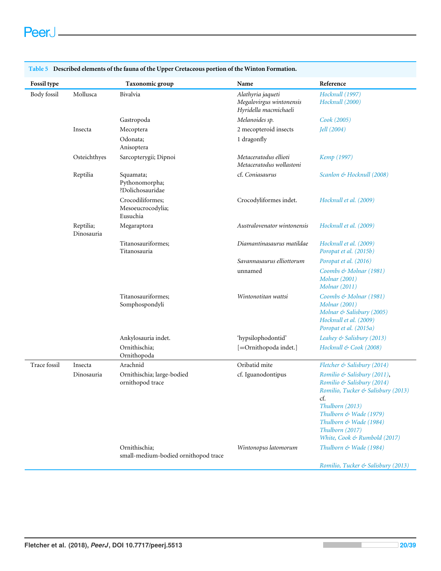| <b>Fossil type</b>  |                         | Taxonomic group                                       | Name                                                                   | Reference                                                                                                                                                                                                                        |
|---------------------|-------------------------|-------------------------------------------------------|------------------------------------------------------------------------|----------------------------------------------------------------------------------------------------------------------------------------------------------------------------------------------------------------------------------|
| Body fossil         | Mollusca                | Bivalvia                                              | Alathyria jaqueti<br>Megalovirgus wintonensis<br>Hyridella macmichaeli | Hocknull (1997)<br>Hocknull (2000)                                                                                                                                                                                               |
|                     |                         | Gastropoda                                            | Melanoides sp.                                                         | Cook (2005)                                                                                                                                                                                                                      |
|                     | Insecta                 | Mecoptera                                             | 2 mecopteroid insects                                                  | Jell $(2004)$                                                                                                                                                                                                                    |
|                     |                         | Odonata;<br>Anisoptera                                | 1 dragonfly                                                            |                                                                                                                                                                                                                                  |
|                     | Osteichthyes            | Sarcopterygii; Dipnoi                                 | Metaceratodus ellioti<br>Metaceratodus wollastoni                      | Kemp (1997)                                                                                                                                                                                                                      |
|                     | Reptilia                | Squamata;<br>Pythonomorpha;<br>?Dolichosauridae       | cf. Coniasaurus                                                        | Scanlon & Hocknull (2008)                                                                                                                                                                                                        |
|                     |                         | Crocodiliformes;<br>Mesoeucrocodylia;<br>Eusuchia     | Crocodyliformes indet.                                                 | Hocknull et al. (2009)                                                                                                                                                                                                           |
|                     | Reptilia;<br>Dinosauria | Megaraptora                                           | Australovenator wintonensis                                            | Hocknull et al. (2009)                                                                                                                                                                                                           |
|                     |                         | Titanosauriformes;<br>Titanosauria                    | Diamantinasaurus matildae                                              | Hocknull et al. (2009)<br>Poropat et al. (2015b)                                                                                                                                                                                 |
|                     |                         |                                                       | Savannasaurus elliottorum                                              | Poropat et al. (2016)                                                                                                                                                                                                            |
|                     |                         |                                                       | unnamed                                                                | Coombs & Molnar (1981)<br><b>Molnar</b> (2001)<br><b>Molnar</b> (2011)                                                                                                                                                           |
|                     |                         | Titanosauriformes;<br>Somphospondyli                  | Wintonotitan wattsi                                                    | Coombs & Molnar (1981)<br><b>Molnar</b> (2001)<br>Molnar & Salisbury (2005)<br>Hocknull et al. (2009)<br>Poropat et al. (2015a)                                                                                                  |
|                     |                         | Ankylosauria indet.                                   | 'hypsilophodontid'                                                     | Leahey & Salisbury (2013)                                                                                                                                                                                                        |
|                     |                         | Ornithischia:<br>Ornithopoda                          | [=Ornithopoda indet.]                                                  | Hocknull & Cook (2008)                                                                                                                                                                                                           |
| <b>Trace fossil</b> | Insecta                 | Arachnid                                              | Oribatid mite                                                          | Fletcher & Salisbury (2014)                                                                                                                                                                                                      |
|                     | Dinosauria              | Ornithischia; large-bodied<br>ornithopod trace        | cf. Iguanodontipus                                                     | Romilio & Salisbury (2011),<br>Romilio & Salisbury (2014)<br>Romilio, Tucker & Salisbury (2013)<br>cf.<br>Thulborn (2013)<br>Thulborn & Wade (1979)<br>Thulborn & Wade (1984)<br>Thulborn (2017)<br>White, Cook & Rumbold (2017) |
|                     |                         | Ornithischia;<br>small-medium-bodied ornithopod trace | Wintonopus latomorum                                                   | Thulborn & Wade (1984)<br>Romilio, Tucker & Salisbury (2013)                                                                                                                                                                     |

<span id="page-19-0"></span>**Table 5 Described elements of the fauna of the Upper Cretaceous portion of the Winton Formation.**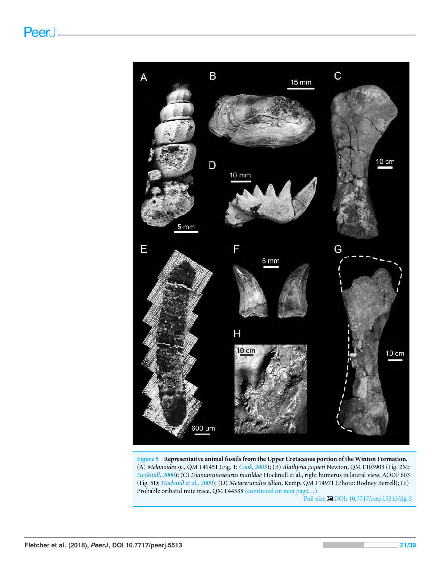<span id="page-20-0"></span>

**Figure 5 Representative animal fossils from the Upper Cretaceous portion of the Winton Formation.** (A) *Melanoides sp.,* QM F49451 (Fig. 1; *[Cook, 2005](#page-27-6)*); (B) *Alathyria jaqueti* Newton, QM F103903 (Fig. 2M; *[Hocknull, 2000](#page-30-1)*); (C) *Diamantinasaurus matildae* Hocknull et al., right humerus in lateral view, AODF 603 (Fig. 5D; *[Hocknull et al., 2009](#page-30-3)*); (D) *Metaceratodus ellioti*, Kemp, QM F14971 (Photo: Rodney Berrell); (E) Probable oribatid mite trace, QM F44338 (continued on next page... )

Full-size DOI: [10.7717/peerj.5513/fig-5](https://doi.org/10.7717/peerj.5513/fig-5)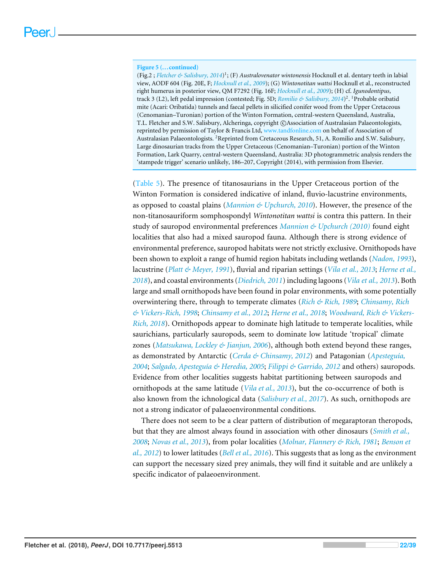#### **Figure 5 (...continued)**

(Fig.2 ; *[Fletcher & Salisbury, 2014](#page-29-0)*) 1 ; (F) *Australovenator wintonensis* Hocknull et al. dentary teeth in labial view, AODF 604 (Fig. 20E, F; *[Hocknull et al., 2009](#page-30-3)*); (G) *Wintonotitan wattsi* Hocknull et al., reconstructed right humerus in posterior view, QM F7292 (Fig. 16F; *[Hocknull et al., 2009](#page-30-3)*); (H) cf. *Igunodontipus*, track 3 (L2), left pedal impression (contested; Fig. 5D; *[Romilio & Salisbury, 2014](#page-35-3)*) 2 . <sup>1</sup>Probable oribatid mite (Acari: Oribatida) tunnels and faecal pellets in silicified conifer wood from the Upper Cretaceous (Cenomanian–Turonian) portion of the Winton Formation, central-western Queensland, Australia, T.L. Fletcher and S.W. Salisbury, Alcheringa, copyright ©Association of Australasian Palaeontologists, reprinted by permission of Taylor & Francis Ltd, <www.tandfonline.com> on behalf of Association of Australasian Palaeontologists. <sup>2</sup>Reprinted from Cretaceous Research, 51, A. Romilio and S.W. Salisbury, Large dinosaurian tracks from the Upper Cretaceous (Cenomanian–Turonian) portion of the Winton Formation, Lark Quarry, central-western Queensland, Australia: 3D photogrammetric analysis renders the 'stampede trigger' scenario unlikely, 186–207, Copyright (2014), with permission from Elsevier.

[\(Table 5\)](#page-19-0). The presence of titanosaurians in the Upper Cretaceous portion of the Winton Formation is considered indicative of inland, fluvio-lacustrine environments, as opposed to coastal plains (*[Mannion & Upchurch, 2010](#page-31-13)*). However, the presence of the non-titanosauriform somphospondyl *Wintonotitan wattsi* is contra this pattern. In their study of sauropod environmental preferences *[Mannion & Upchurch \(2010\)](#page-31-13)* found eight localities that also had a mixed sauropod fauna. Although there is strong evidence of environmental preference, sauropod habitats were not strictly exclusive. Ornithopods have been shown to exploit a range of humid region habitats including wetlands (*[Nadon, 1993](#page-33-13)*), lacustrine (*[Platt & Meyer, 1991](#page-34-11)*), fluvial and riparian settings (*[Vila et al., 2013](#page-37-14)*; *[Herne et al.,](#page-30-16) [2018](#page-30-16)*), and coastal environments (*[Diedrich, 2011](#page-28-13)*) including lagoons (*[Vila et al., 2013](#page-37-14)*). Both large and small ornithopods have been found in polar environments, with some potentially overwintering there, through to temperate climates (*[Rich & Rich, 1989](#page-34-12)*; *[Chinsamy, Rich](#page-27-14) [& Vickers-Rich, 1998](#page-27-14)*; *[Chinsamy et al., 2012](#page-27-15)*; *[Herne et al., 2018](#page-30-16)*; *[Woodward, Rich & Vickers-](#page-38-7)[Rich, 2018](#page-38-7)*). Ornithopods appear to dominate high latitude to temperate localities, while saurichians, particularly sauropods, seem to dominate low latitude 'tropical' climate zones (*[Matsukawa, Lockley & Jianjun, 2006](#page-32-12)*), although both extend beyond these ranges, as demonstrated by Antarctic (*[Cerda & Chinsamy, 2012](#page-26-14)*) and Patagonian (*[Apesteguía,](#page-25-11) [2004](#page-25-11)*; *[Salgado, Apesteguía & Heredia, 2005](#page-35-11)*; *[Filippi & Garrido, 2012](#page-28-14)* and others) sauropods. Evidence from other localities suggests habitat partitioning between sauropods and ornithopods at the same latitude (*[Vila et al., 2013](#page-37-14)*), but the co-occurrence of both is also known from the ichnological data (*[Salisbury et al., 2017](#page-35-12)*). As such, ornithopods are not a strong indicator of palaeoenvironmental conditions.

There does not seem to be a clear pattern of distribution of megaraptoran theropods, but that they are almost always found in association with other dinosaurs (*[Smith et al.,](#page-36-11) [2008](#page-36-11)*; *[Novas et al., 2013](#page-33-14)*), from polar localities (*[Molnar, Flannery & Rich, 1981](#page-33-15)*; *[Benson et](#page-25-12) [al., 2012](#page-25-12)*) to lower latitudes (*[Bell et al., 2016](#page-25-13)*). This suggests that as long as the environment can support the necessary sized prey animals, they will find it suitable and are unlikely a specific indicator of palaeoenvironment.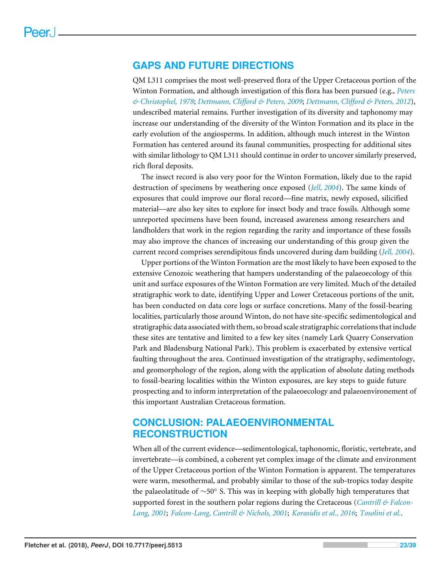## **GAPS AND FUTURE DIRECTIONS**

QM L311 comprises the most well-preserved flora of the Upper Cretaceous portion of the Winton Formation, and although investigation of this flora has been pursued (e.g., *[Peters](#page-34-3) [& Christophel, 1978](#page-34-3)*; *[Dettmann, Clifford & Peters, 2009](#page-27-1)*; *[Dettmann, Clifford & Peters, 2012](#page-28-0)*), undescribed material remains. Further investigation of its diversity and taphonomy may increase our understanding of the diversity of the Winton Formation and its place in the early evolution of the angiosperms. In addition, although much interest in the Winton Formation has centered around its faunal communities, prospecting for additional sites with similar lithology to QM L311 should continue in order to uncover similarly preserved, rich floral deposits.

The insect record is also very poor for the Winton Formation, likely due to the rapid destruction of specimens by weathering once exposed (*[Jell, 2004](#page-31-11)*). The same kinds of exposures that could improve our floral record—fine matrix, newly exposed, silicified material—are also key sites to explore for insect body and trace fossils. Although some unreported specimens have been found, increased awareness among researchers and landholders that work in the region regarding the rarity and importance of these fossils may also improve the chances of increasing our understanding of this group given the current record comprises serendipitous finds uncovered during dam building (*[Jell, 2004](#page-31-11)*).

Upper portions of the Winton Formation are the most likely to have been exposed to the extensive Cenozoic weathering that hampers understanding of the palaeoecology of this unit and surface exposures of the Winton Formation are very limited. Much of the detailed stratigraphic work to date, identifying Upper and Lower Cretaceous portions of the unit, has been conducted on data core logs or surface concretions. Many of the fossil-bearing localities, particularly those around Winton, do not have site-specific sedimentological and stratigraphic data associated with them, so broad scale stratigraphic correlations that include these sites are tentative and limited to a few key sites (namely Lark Quarry Conservation Park and Bladensburg National Park). This problem is exacerbated by extensive vertical faulting throughout the area. Continued investigation of the stratigraphy, sedimentology, and geomorphology of the region, along with the application of absolute dating methods to fossil-bearing localities within the Winton exposures, are key steps to guide future prospecting and to inform interpretation of the palaeoecology and palaeoenvironement of this important Australian Cretaceous formation.

## **CONCLUSION: PALAEOENVIRONMENTAL RECONSTRUCTION**

When all of the current evidence—sedimentological, taphonomic, floristic, vertebrate, and invertebrate—is combined, a coherent yet complex image of the climate and environment of the Upper Cretaceous portion of the Winton Formation is apparent. The temperatures were warm, mesothermal, and probably similar to those of the sub-tropics today despite the palaeolatitude of ∼50◦ S. This was in keeping with globally high temperatures that supported forest in the southern polar regions during the Cretaceous (*[Cantrill & Falcon-](#page-26-11)[Lang, 2001](#page-26-11)*; *[Falcon-Lang, Cantrill & Nichols, 2001](#page-28-10)*; *[Korasidis et al., 2016](#page-31-14)*; *[Tosolini et al.,](#page-36-12)*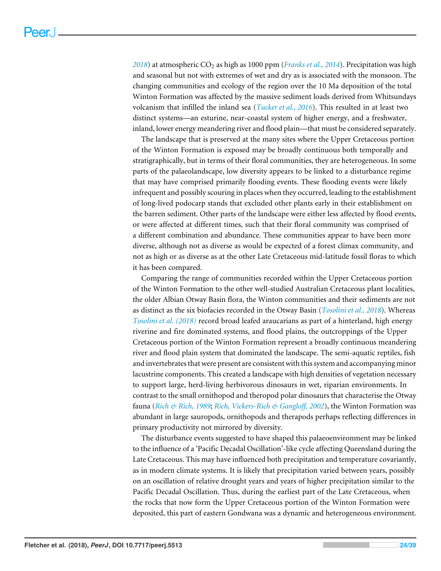*[2018](#page-36-12)*) at atmospheric CO<sup>2</sup> as high as 1000 ppm (*[Franks et al., 2014](#page-29-10)*). Precipitation was high and seasonal but not with extremes of wet and dry as is associated with the monsoon. The changing communities and ecology of the region over the 10 Ma deposition of the total Winton Formation was affected by the massive sediment loads derived from Whitsundays volcanism that infilled the inland sea (*[Tucker et al., 2016](#page-36-0)*). This resulted in at least two distinct systems—an esturine, near-coastal system of higher energy, and a freshwater, inland, lower energy meandering river and flood plain—that must be considered separately.

The landscape that is preserved at the many sites where the Upper Cretaceous portion of the Winton Formation is exposed may be broadly continuous both temporally and stratigraphically, but in terms of their floral communities, they are heterogeneous. In some parts of the palaeolandscape, low diversity appears to be linked to a disturbance regime that may have comprised primarily flooding events. These flooding events were likely infrequent and possibly scouring in places when they occurred, leading to the establishment of long-lived podocarp stands that excluded other plants early in their establishment on the barren sediment. Other parts of the landscape were either less affected by flood events, or were affected at different times, such that their floral community was comprised of a different combination and abundance. These communities appear to have been more diverse, although not as diverse as would be expected of a forest climax community, and not as high or as diverse as at the other Late Cretaceous mid-latitude fossil floras to which it has been compared.

Comparing the range of communities recorded within the Upper Cretaceous portion of the Winton Formation to the other well-studied Australian Cretaceous plant localities, the older Albian Otway Basin flora, the Winton communities and their sediments are not as distinct as the six biofacies recorded in the Otway Basin (*[Tosolini et al., 2018](#page-36-12)*). Whereas *[Tosolini et al. \(2018\)](#page-36-12)* record broad leafed araucarians as part of a hinterland, high energy riverine and fire dominated systems, and flood plains, the outcroppings of the Upper Cretaceous portion of the Winton Formation represent a broadly continuous meandering river and flood plain system that dominated the landscape. The semi-aquatic reptiles, fish and invertebrates that were present are consistent with this system and accompanying minor lacustrine components. This created a landscape with high densities of vegetation necessary to support large, herd-living herbivorous dinosaurs in wet, riparian environments. In contrast to the small ornithopod and theropod polar dinosaurs that characterise the Otway fauna (*[Rich & Rich, 1989](#page-34-12)*; *[Rich, Vickers-Rich & Gangloff, 2002](#page-34-13)*), the Winton Formation was abundant in large sauropods, ornithopods and therapods perhaps reflecting differences in primary productivity not mirrored by diversity.

The disturbance events suggested to have shaped this palaeoenvironment may be linked to the influence of a 'Pacific Decadal Oscillation'-like cycle affecting Queensland during the Late Cretaceous. This may have influenced both precipitation and temperature covariantly, as in modern climate systems. It is likely that precipitation varied between years, possibly on an oscillation of relative drought years and years of higher precipitation similar to the Pacific Decadal Oscillation. Thus, during the earliest part of the Late Cretaceous, when the rocks that now form the Upper Cretaceous portion of the Winton Formation were deposited, this part of eastern Gondwana was a dynamic and heterogeneous environment.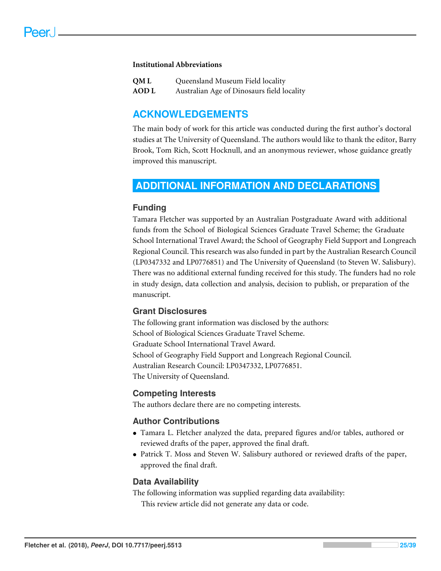#### **Institutional Abbreviations**

| <b>OML</b>   | Queensland Museum Field locality           |
|--------------|--------------------------------------------|
| <b>AOD</b> L | Australian Age of Dinosaurs field locality |

## **ACKNOWLEDGEMENTS**

The main body of work for this article was conducted during the first author's doctoral studies at The University of Queensland. The authors would like to thank the editor, Barry Brook, Tom Rich, Scott Hocknull, and an anonymous reviewer, whose guidance greatly improved this manuscript.

## <span id="page-24-0"></span>**ADDITIONAL INFORMATION AND DECLARATIONS**

## **Funding**

Tamara Fletcher was supported by an Australian Postgraduate Award with additional funds from the School of Biological Sciences Graduate Travel Scheme; the Graduate School International Travel Award; the School of Geography Field Support and Longreach Regional Council. This research was also funded in part by the Australian Research Council (LP0347332 and LP0776851) and The University of Queensland (to Steven W. Salisbury). There was no additional external funding received for this study. The funders had no role in study design, data collection and analysis, decision to publish, or preparation of the manuscript.

## **Grant Disclosures**

The following grant information was disclosed by the authors: School of Biological Sciences Graduate Travel Scheme. Graduate School International Travel Award. School of Geography Field Support and Longreach Regional Council. Australian Research Council: LP0347332, LP0776851. The University of Queensland.

## **Competing Interests**

The authors declare there are no competing interests.

## **Author Contributions**

- [Tamara L. Fletcher](#page-0-4) analyzed the data, prepared figures and/or tables, authored or reviewed drafts of the paper, approved the final draft.
- [Patrick T. Moss](#page-0-5) and [Steven W. Salisbury](#page-0-6) authored or reviewed drafts of the paper, approved the final draft.

## **Data Availability**

The following information was supplied regarding data availability: This review article did not generate any data or code.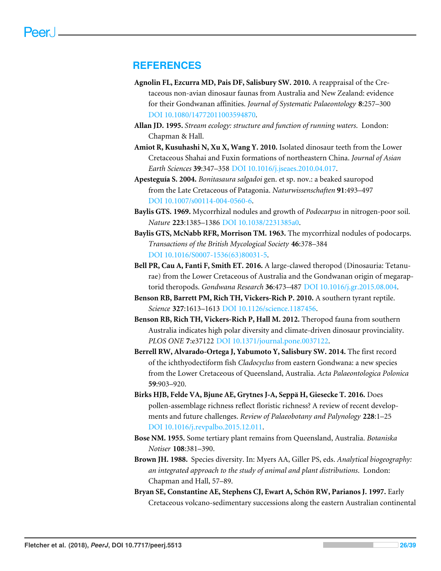## **REFERENCES**

- <span id="page-25-0"></span>**Agnolin FL, Ezcurra MD, Pais DF, Salisbury SW. 2010.** A reappraisal of the Cretaceous non-avian dinosaur faunas from Australia and New Zealand: evidence for their Gondwanan affinities. *Journal of Systematic Palaeontology* **8**:257–300 [DOI 10.1080/14772011003594870.](http://dx.doi.org/10.1080/14772011003594870)
- <span id="page-25-4"></span>**Allan JD. 1995.** *Stream ecology: structure and function of running waters*. London: Chapman & Hall.
- <span id="page-25-10"></span>**Amiot R, Kusuhashi N, Xu X, Wang Y. 2010.** Isolated dinosaur teeth from the Lower Cretaceous Shahai and Fuxin formations of northeastern China. *Journal of Asian Earth Sciences* **39**:347–358 [DOI 10.1016/j.jseaes.2010.04.017.](http://dx.doi.org/10.1016/j.jseaes.2010.04.017)
- <span id="page-25-11"></span>**Apesteguía S. 2004.** *Bonitasaura salgadoi* gen. et sp. nov.: a beaked sauropod from the Late Cretaceous of Patagonia. *Naturwissenschaften* **91**:493–497 [DOI 10.1007/s00114-004-0560-6.](http://dx.doi.org/10.1007/s00114-004-0560-6)
- <span id="page-25-6"></span>**Baylis GTS. 1969.** Mycorrhizal nodules and growth of *Podocarpus* in nitrogen-poor soil. *Nature* **223**:1385–1386 [DOI 10.1038/2231385a0.](http://dx.doi.org/10.1038/2231385a0)
- <span id="page-25-5"></span>**Baylis GTS, McNabb RFR, Morrison TM. 1963.** The mycorrhizal nodules of podocarps. *Transactions of the British Mycological Society* **46**:378–384 [DOI 10.1016/S0007-1536\(63\)80031-5.](http://dx.doi.org/10.1016/S0007-1536(63)80031-5)
- <span id="page-25-13"></span>**Bell PR, Cau A, Fanti F, Smith ET. 2016.** A large-clawed theropod (Dinosauria: Tetanurae) from the Lower Cretaceous of Australia and the Gondwanan origin of megaraptorid theropods. *Gondwana Research* **36**:473–487 [DOI 10.1016/j.gr.2015.08.004.](http://dx.doi.org/10.1016/j.gr.2015.08.004)
- <span id="page-25-9"></span>**Benson RB, Barrett PM, Rich TH, Vickers-Rich P. 2010.** A southern tyrant reptile. *Science* **327**:1613–1613 [DOI 10.1126/science.1187456.](http://dx.doi.org/10.1126/science.1187456)
- <span id="page-25-12"></span>**Benson RB, Rich TH, Vickers-Rich P, Hall M. 2012.** Theropod fauna from southern Australia indicates high polar diversity and climate-driven dinosaur provinciality. *PLOS ONE* **7**:e37122 [DOI 10.1371/journal.pone.0037122.](http://dx.doi.org/10.1371/journal.pone.0037122)
- <span id="page-25-1"></span>**Berrell RW, Alvarado-Ortega J, Yabumoto Y, Salisbury SW. 2014.** The first record of the ichthyodectiform fish *Cladocyclus* from eastern Gondwana: a new species from the Lower Cretaceous of Queensland, Australia. *Acta Palaeontologica Polonica* **59**:903–920.
- <span id="page-25-7"></span>**Birks HJB, Felde VA, Bjune AE, Grytnes J-A, Seppä H, Giesecke T. 2016.** Does pollen-assemblage richness reflect floristic richness? A review of recent developments and future challenges. *Review of Palaeobotany and Palynology* **228**:1–25 [DOI 10.1016/j.revpalbo.2015.12.011.](http://dx.doi.org/10.1016/j.revpalbo.2015.12.011)
- <span id="page-25-2"></span>**Bose NM. 1955.** Some tertiary plant remains from Queensland, Australia. *Botaniska Notiser* **108**:381–390.
- <span id="page-25-8"></span>**Brown JH. 1988.** Species diversity. In: Myers AA, Giller PS, eds. *Analytical biogeography: an integrated approach to the study of animal and plant distributions*. London: Chapman and Hall, 57–89.
- <span id="page-25-3"></span>**Bryan SE, Constantine AE, Stephens CJ, Ewart A, Schön RW, Parianos J. 1997.** Early Cretaceous volcano-sedimentary successions along the eastern Australian continental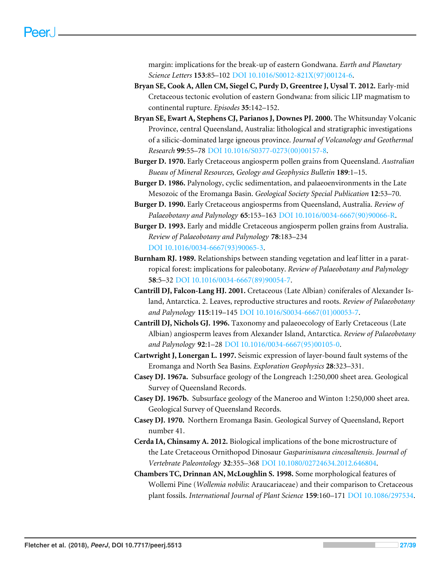margin: implications for the break-up of eastern Gondwana. *Earth and Planetary Science Letters* **153**:85–102 [DOI 10.1016/S0012-821X\(97\)00124-6.](http://dx.doi.org/10.1016/S0012-821X(97)00124-6)

- <span id="page-26-4"></span>**Bryan SE, Cook A, Allen CM, Siegel C, Purdy D, Greentree J, Uysal T. 2012.** Early-mid Cretaceous tectonic evolution of eastern Gondwana: from silicic LIP magmatism to continental rupture. *Episodes* **35**:142–152.
- <span id="page-26-5"></span>**Bryan SE, Ewart A, Stephens CJ, Parianos J, Downes PJ. 2000.** The Whitsunday Volcanic Province, central Queensland, Australia: lithological and stratigraphic investigations of a silicic-dominated large igneous province. *Journal of Volcanology and Geothermal Research* **99**:55–78 [DOI 10.1016/S0377-0273\(00\)00157-8.](http://dx.doi.org/10.1016/S0377-0273(00)00157-8)
- <span id="page-26-1"></span>**Burger D. 1970.** Early Cretaceous angiosperm pollen grains from Queensland. *Australian Bueau of Mineral Resources, Geology and Geophysics Bulletin* **189**:1–15.
- <span id="page-26-7"></span>**Burger D. 1986.** Palynology, cyclic sedimentation, and palaeoenvironments in the Late Mesozoic of the Eromanga Basin. *Geological Society Special Publication* **12**:53–70.
- <span id="page-26-2"></span>**Burger D. 1990.** Early Cretaceous angiosperms from Queensland, Australia. *Review of Palaeobotany and Palynology* **65**:153–163 [DOI 10.1016/0034-6667\(90\)90066-R.](http://dx.doi.org/10.1016/0034-6667(90)90066-R)
- <span id="page-26-3"></span>**Burger D. 1993.** Early and middle Cretaceous angiosperm pollen grains from Australia. *Review of Palaeobotany and Palynology* **78**:183–234 [DOI 10.1016/0034-6667\(93\)90065-3.](http://dx.doi.org/10.1016/0034-6667(93)90065-3)
- <span id="page-26-12"></span>**Burnham RJ. 1989.** Relationships between standing vegetation and leaf litter in a paratropical forest: implications for paleobotany. *Review of Palaeobotany and Palynology* **58**:5–32 [DOI 10.1016/0034-6667\(89\)90054-7.](http://dx.doi.org/10.1016/0034-6667(89)90054-7)
- <span id="page-26-11"></span>**Cantrill DJ, Falcon-Lang HJ. 2001.** Cretaceous (Late Albian) coniferales of Alexander Island, Antarctica. 2. Leaves, reproductive structures and roots. *Review of Palaeobotany and Palynology* **115**:119–145 [DOI 10.1016/S0034-6667\(01\)00053-7.](http://dx.doi.org/10.1016/S0034-6667(01)00053-7)
- <span id="page-26-13"></span>**Cantrill DJ, Nichols GJ. 1996.** Taxonomy and palaeoecology of Early Cretaceous (Late Albian) angiosperm leaves from Alexander Island, Antarctica. *Review of Palaeobotany and Palynology* **92**:1–28 [DOI 10.1016/0034-6667\(95\)00105-0.](http://dx.doi.org/10.1016/0034-6667(95)00105-0)
- <span id="page-26-10"></span>**Cartwright J, Lonergan L. 1997.** Seismic expression of layer-bound fault systems of the Eromanga and North Sea Basins. *Exploration Geophysics* **28**:323–331.
- <span id="page-26-8"></span>**Casey DJ. 1967a.** Subsurface geology of the Longreach 1:250,000 sheet area. Geological Survey of Queensland Records.
- <span id="page-26-9"></span>**Casey DJ. 1967b.** Subsurface geology of the Maneroo and Winton 1:250,000 sheet area. Geological Survey of Queensland Records.
- <span id="page-26-6"></span>**Casey DJ. 1970.** Northern Eromanga Basin. Geological Survey of Queensland, Report number 41.
- <span id="page-26-14"></span>**Cerda IA, Chinsamy A. 2012.** Biological implications of the bone microstructure of the Late Cretaceous Ornithopod Dinosaur *Gasparinisaura cincosaltensis*. *Journal of Vertebrate Paleontology* **32**:355–368 [DOI 10.1080/02724634.2012.646804.](http://dx.doi.org/10.1080/02724634.2012.646804)
- <span id="page-26-0"></span>**Chambers TC, Drinnan AN, McLoughlin S. 1998.** Some morphological features of Wollemi Pine (*Wollemia nobilis*: Araucariaceae) and their comparison to Cretaceous plant fossils. *International Journal of Plant Science* **159**:160–171 [DOI 10.1086/297534.](http://dx.doi.org/10.1086/297534)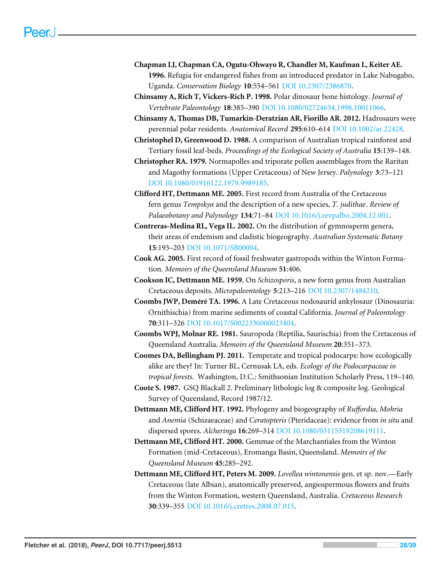- <span id="page-27-7"></span>**Chapman LJ, Chapman CA, Ogutu-Ohwayo R, Chandler M, Kaufman L, Keiter AE. 1996.** Refugia for endangered fishes from an introduced predator in Lake Nabugabo, Uganda. *Conservation Biology* **10**:554–561 [DOI 10.2307/2386870.](http://dx.doi.org/10.2307/2386870)
- <span id="page-27-14"></span>**Chinsamy A, Rich T, Vickers-Rich P. 1998.** Polar dinosaur bone histology. *Journal of Vertebrate Paleontology* **18**:385–390 [DOI 10.1080/02724634.1998.10011066.](http://dx.doi.org/10.1080/02724634.1998.10011066)
- <span id="page-27-15"></span>**Chinsamy A, Thomas DB, Tumarkin-Deratzian AR, Fiorillo AR. 2012.** Hadrosaurs were perennial polar residents. *Anatomical Record* **295**:610–614 [DOI 10.1002/ar.22428.](http://dx.doi.org/10.1002/ar.22428)
- <span id="page-27-10"></span>**Christophel D, Greenwood D. 1988.** A comparison of Australian tropical rainforest and Tertiary fossil leaf-beds. *Proceedings of the Ecological Society of Australia* **15**:139–148.
- <span id="page-27-11"></span>**Christopher RA. 1979.** Normapolles and triporate pollen assemblages from the Raritan and Magothy formations (Upper Cretaceous) of New Jersey. *Palynology* **3**:73–121 [DOI 10.1080/01916122.1979.9989185.](http://dx.doi.org/10.1080/01916122.1979.9989185)
- <span id="page-27-3"></span>**Clifford HT, Dettmann ME. 2005.** First record from Australia of the Cretaceous fern genus *Tempskya* and the description of a new species, *T. judithae*. *Review of Palaeobotany and Palynology* **134**:71–84 [DOI 10.1016/j.revpalbo.2004.12.001.](http://dx.doi.org/10.1016/j.revpalbo.2004.12.001)
- <span id="page-27-9"></span>**Contreras-Medina RL, Vega IL. 2002.** On the distribution of gymnosperm genera, their areas of endemism and cladistic biogeography. *Australian Systematic Botany* **15**:193–203 [DOI 10.1071/SB00004.](http://dx.doi.org/10.1071/SB00004)
- <span id="page-27-6"></span>**Cook AG. 2005.** First record of fossil freshwater gastropods within the Winton Formation. *Memoirs of the Queensland Museum* **51**:406.
- <span id="page-27-4"></span>**Cookson IC, Dettmann ME. 1959.** On *Schizosporis*, a new form genus from Australian Cretaceous deposits. *Micropaleontology* **5**:213–216 [DOI 10.2307/1484210.](http://dx.doi.org/10.2307/1484210)
- <span id="page-27-13"></span>**Coombs JWP, Deméré TA. 1996.** A Late Cretaceous nodosaurid ankylosaur (Dinosauria: Ornithischia) from marine sediments of coastal California. *Journal of Paleontology* **70**:311–326 [DOI 10.1017/S0022336000023404.](http://dx.doi.org/10.1017/S0022336000023404)
- <span id="page-27-12"></span>**Coombs WPJ, Molnar RE. 1981.** Sauropoda (Reptilia, Saurischia) from the Cretaceous of Queensland Australia. *Memoirs of the Queensland Museum* **20**:351–373.
- <span id="page-27-8"></span>**Coomes DA, Bellingham PJ. 2011.** Temperate and tropical podocarps: how ecologically alike are they? In: Turner BL, Cernusak LA, eds. *Ecology of the Podocarpaceae in tropical forests*. Washington, D.C.: Smithsonian Institution Scholarly Press, 119–140.
- <span id="page-27-5"></span>**Coote S. 1987.** GSQ Blackall 2. Preliminary lithologic log & composite log. Geological Survey of Queensland, Record 1987/12.
- <span id="page-27-0"></span>**Dettmann ME, Clifford HT. 1992.** Phylogeny and biogeography of *Ruffordia*, *Mohria* and *Anemia* (Schizaeaceae) and *Ceratopteris* (Pteridaceae): evidence from *in situ* and dispersed spores. *Alcheringa* **16**:269–314 [DOI 10.1080/03115519208619111.](http://dx.doi.org/10.1080/03115519208619111)
- <span id="page-27-2"></span>**Dettmann ME, Clifford HT. 2000.** Gemmae of the Marchantiales from the Winton Formation (mid-Cretaceous), Eromanga Basin, Queensland. *Memoirs of the Queensland Museum* **45**:285–292.
- <span id="page-27-1"></span>**Dettmann ME, Clifford HT, Peters M. 2009.** *Lovellea wintonensis* gen. et sp. nov.—Early Cretaceous (late Albian), anatomically preserved, angiospermous flowers and fruits from the Winton Formation, western Queensland, Australia. *Cretaceous Research* **30**:339–355 [DOI 10.1016/j.cretres.2008.07.015.](http://dx.doi.org/10.1016/j.cretres.2008.07.015)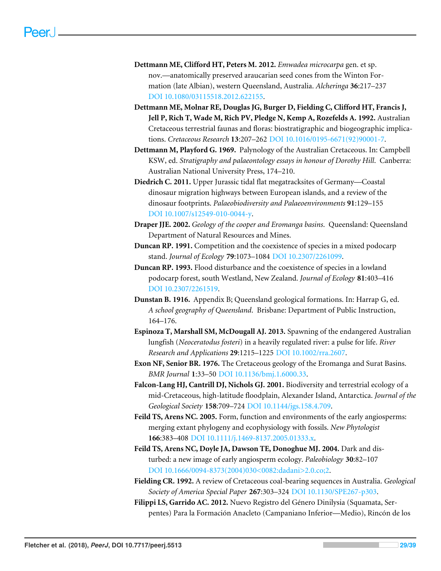- <span id="page-28-0"></span>**Dettmann ME, Clifford HT, Peters M. 2012.** *Emwadea microcarpa* gen. et sp. nov.—anatomically preserved araucarian seed cones from the Winton Formation (late Albian), western Queensland, Australia. *Alcheringa* **36**:217–237 [DOI 10.1080/03115518.2012.622155.](http://dx.doi.org/10.1080/03115518.2012.622155)
- <span id="page-28-2"></span>**Dettmann ME, Molnar RE, Douglas JG, Burger D, Fielding C, Clifford HT, Francis J, Jell P, Rich T, Wade M, Rich PV, Pledge N, Kemp A, Rozefelds A. 1992.** Australian Cretaceous terrestrial faunas and floras: biostratigraphic and biogeographic implications. *Cretaceous Research* **13**:207–262 [DOI 10.1016/0195-6671\(92\)90001-7.](http://dx.doi.org/10.1016/0195-6671(92)90001-7)
- <span id="page-28-1"></span>**Dettmann M, Playford G. 1969.** Palynology of the Australian Cretaceous. In: Campbell KSW, ed. *Stratigraphy and palaeontology essays in honour of Dorothy Hill*. Canberra: Australian National University Press, 174–210.
- <span id="page-28-13"></span>**Diedrich C. 2011.** Upper Jurassic tidal flat megatracksites of Germany—Coastal dinosaur migration highways between European islands, and a review of the dinosaur footprints. *Palaeobiodiversity and Palaeoenvironments* **91**:129–155 [DOI 10.1007/s12549-010-0044-y.](http://dx.doi.org/10.1007/s12549-010-0044-y)
- <span id="page-28-6"></span>**Draper JJE. 2002.** *Geology of the cooper and Eromanga basins*. Queensland: Queensland Department of Natural Resources and Mines.
- <span id="page-28-8"></span>**Duncan RP. 1991.** Competition and the coexistence of species in a mixed podocarp stand. *Journal of Ecology* **79**:1073–1084 [DOI 10.2307/2261099.](http://dx.doi.org/10.2307/2261099)
- <span id="page-28-9"></span>**Duncan RP. 1993.** Flood disturbance and the coexistence of species in a lowland podocarp forest, south Westland, New Zealand. *Journal of Ecology* **81**:403–416 [DOI 10.2307/2261519.](http://dx.doi.org/10.2307/2261519)
- <span id="page-28-5"></span>**Dunstan B. 1916.** Appendix B; Queensland geological formations. In: Harrap G, ed. *A school geography of Queensland*. Brisbane: Department of Public Instruction, 164–176.
- <span id="page-28-7"></span>**Espinoza T, Marshall SM, McDougall AJ. 2013.** Spawning of the endangered Australian lungfish (*Neoceratodus fosteri*) in a heavily regulated river: a pulse for life. *River Research and Applications* **29**:1215–1225 [DOI 10.1002/rra.2607.](http://dx.doi.org/10.1002/rra.2607)
- <span id="page-28-4"></span>**Exon NF, Senior BR. 1976.** The Cretaceous geology of the Eromanga and Surat Basins. *BMR Journal* **1**:33–50 [DOI 10.1136/bmj.1.6000.33.](http://dx.doi.org/10.1136/bmj.1.6000.33)
- <span id="page-28-10"></span>**Falcon-Lang HJ, Cantrill DJ, Nichols GJ. 2001.** Biodiversity and terrestrial ecology of a mid-Cretaceous, high-latitude floodplain, Alexander Island, Antarctica. *Journal of the Geological Society* **158**:709–724 [DOI 10.1144/jgs.158.4.709.](http://dx.doi.org/10.1144/jgs.158.4.709)
- <span id="page-28-12"></span>**Feild TS, Arens NC. 2005.** Form, function and environments of the early angiosperms: merging extant phylogeny and ecophysiology with fossils. *New Phytologist* **166**:383–408 [DOI 10.1111/j.1469-8137.2005.01333.x.](http://dx.doi.org/10.1111/j.1469-8137.2005.01333.x)
- <span id="page-28-11"></span>**Feild TS, Arens NC, Doyle JA, Dawson TE, Donoghue MJ. 2004.** Dark and disturbed: a new image of early angiosperm ecology. *Paleobiology* **30**:82–107 [DOI 10.1666/0094-8373\(2004\)030<0082:dadani>2.0.co;2.](http://dx.doi.org/10.1666/0094-8373(2004)030\lt 0082:dadani\gt 2.0.co;2)
- <span id="page-28-3"></span>**Fielding CR. 1992.** A review of Cretaceous coal-bearing sequences in Australia. *Geological Society of America Special Paper* **267**:303–324 [DOI 10.1130/SPE267-p303.](http://dx.doi.org/10.1130/SPE267-p303)
- <span id="page-28-14"></span>**Filippi LS, Garrido AC. 2012.** Nuevo Registro del Género Dinilysia (Squamata, Serpentes) Para la Formación Anacleto (Campaniano Inferior—Medio), Rincón de los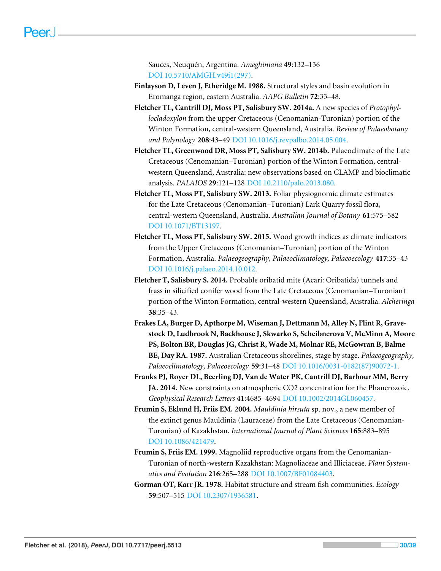Sauces, Neuquén, Argentina. *Ameghiniana* **49**:132–136 [DOI 10.5710/AMGH.v49i1\(297\).](http://dx.doi.org/10.5710/AMGH.v49i1(297))

- <span id="page-29-3"></span>**Finlayson D, Leven J, Etheridge M. 1988.** Structural styles and basin evolution in Eromanga region, eastern Australia. *AAPG Bulletin* **72**:33–48.
- <span id="page-29-1"></span>**Fletcher TL, Cantrill DJ, Moss PT, Salisbury SW. 2014a.** A new species of *Protophyllocladoxylon* from the upper Cretaceous (Cenomanian-Turonian) portion of the Winton Formation, central-western Queensland, Australia. *Review of Palaeobotany and Palynology* **208**:43–49 [DOI 10.1016/j.revpalbo.2014.05.004.](http://dx.doi.org/10.1016/j.revpalbo.2014.05.004)
- <span id="page-29-6"></span>**Fletcher TL, Greenwood DR, Moss PT, Salisbury SW. 2014b.** Palaeoclimate of the Late Cretaceous (Cenomanian–Turonian) portion of the Winton Formation, centralwestern Queensland, Australia: new observations based on CLAMP and bioclimatic analysis. *PALAIOS* **29**:121–128 [DOI 10.2110/palo.2013.080.](http://dx.doi.org/10.2110/palo.2013.080)
- <span id="page-29-5"></span>**Fletcher TL, Moss PT, Salisbury SW. 2013.** Foliar physiognomic climate estimates for the Late Cretaceous (Cenomanian–Turonian) Lark Quarry fossil flora, central-western Queensland, Australia. *Australian Journal of Botany* **61**:575–582 [DOI 10.1071/BT13197.](http://dx.doi.org/10.1071/BT13197)
- <span id="page-29-7"></span>**Fletcher TL, Moss PT, Salisbury SW. 2015.** Wood growth indices as climate indicators from the Upper Cretaceous (Cenomanian–Turonian) portion of the Winton Formation, Australia. *Palaeogeography, Palaeoclimatology, Palaeoecology* **417**:35–43 [DOI 10.1016/j.palaeo.2014.10.012.](http://dx.doi.org/10.1016/j.palaeo.2014.10.012)
- <span id="page-29-0"></span>**Fletcher T, Salisbury S. 2014.** Probable oribatid mite (Acari: Oribatida) tunnels and frass in silicified conifer wood from the Late Cretaceous (Cenomanian–Turonian) portion of the Winton Formation, central-western Queensland, Australia. *Alcheringa* **38**:35–43.
- <span id="page-29-2"></span>**Frakes LA, Burger D, Apthorpe M, Wiseman J, Dettmann M, Alley N, Flint R, Gravestock D, Ludbrook N, Backhouse J, Skwarko S, Scheibnerova V, McMinn A, Moore PS, Bolton BR, Douglas JG, Christ R, Wade M, Molnar RE, McGowran B, Balme BE, Day RA. 1987.** Australian Cretaceous shorelines, stage by stage. *Palaeogeography, Palaeoclimatology, Palaeoecology* **59**:31–48 [DOI 10.1016/0031-0182\(87\)90072-1.](http://dx.doi.org/10.1016/0031-0182(87)90072-1)
- <span id="page-29-10"></span>**Franks PJ, Royer DL, Beerling DJ, Van de Water PK, Cantrill DJ, Barbour MM, Berry JA. 2014.** New constraints on atmospheric CO2 concentration for the Phanerozoic. *Geophysical Research Letters* **41**:4685–4694 [DOI 10.1002/2014GL060457.](http://dx.doi.org/10.1002/2014GL060457)
- <span id="page-29-9"></span>**Frumin S, Eklund H, Friis EM. 2004.** *Mauldinia hirsuta* sp. nov., a new member of the extinct genus Mauldinia (Lauraceae) from the Late Cretaceous (Cenomanian-Turonian) of Kazakhstan. *International Journal of Plant Sciences* **165**:883–895 [DOI 10.1086/421479.](http://dx.doi.org/10.1086/421479)
- <span id="page-29-8"></span>**Frumin S, Friis EM. 1999.** Magnoliid reproductive organs from the Cenomanian-Turonian of north-western Kazakhstan: Magnoliaceae and Illiciaceae. *Plant Systematics and Evolution* **216**:265–288 [DOI 10.1007/BF01084403.](http://dx.doi.org/10.1007/BF01084403)
- <span id="page-29-4"></span>**Gorman OT, Karr JR. 1978.** Habitat structure and stream fish communities. *Ecology* **59**:507–515 [DOI 10.2307/1936581.](http://dx.doi.org/10.2307/1936581)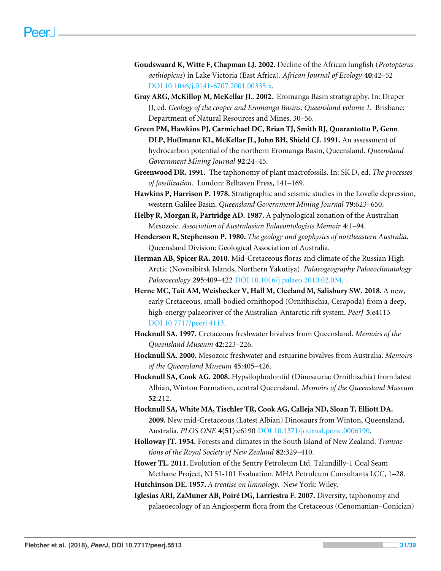- <span id="page-30-10"></span>**Goudswaard K, Witte F, Chapman LJ. 2002.** Decline of the African lungfish (*Protopterus aethiopicus*) in Lake Victoria (East Africa). *African Journal of Ecology* **40**:42–52 [DOI 10.1046/j.0141-6707.2001.00335.x.](http://dx.doi.org/10.1046/j.0141-6707.2001.00335.x)
- <span id="page-30-5"></span>**Gray ARG, McKillop M, MeKellar JL. 2002.** Eromanga Basin stratigraphy. In: Draper JJ, ed. *Geology of the cooper and Eromanga Basins*. *Queensland volume 1*. Brisbane: Department of Natural Resources and Mines, 30–56.
- <span id="page-30-8"></span>**Green PM, Hawkins PJ, Carmichael DC, Brian TJ, Smith RJ, Quarantotto P, Genn DLP, Hoffmann KL, McKellar JL, John BH, Shield CJ. 1991.** An assessment of hydrocarbon potential of the northern Eromanga Basin, Queensland. *Queensland Government Mining Journal* **92**:24–45.
- <span id="page-30-13"></span>**Greenwood DR. 1991.** The taphonomy of plant macrofossils. In: SK D, ed. *The processes of fossilization*. London: Belhaven Press, 141–169.
- <span id="page-30-7"></span>**Hawkins P, Harrison P. 1978.** Stratigraphic and seismic studies in the Lovelle depression, western Galilee Basin. *Queensland Government Mining Journal* **79**:623–650.
- <span id="page-30-4"></span>**Helby R, Morgan R, Partridge AD. 1987.** A palynological zonation of the Australian Mesozoic. *Association of Australasian Palaeontologists Memoir* **4**:1–94.
- <span id="page-30-6"></span>**Henderson R, Stephenson P. 1980.** *The geology and geophysics of northeastern Australia*. Queensland Division: Geological Association of Australia.
- <span id="page-30-14"></span>**Herman AB, Spicer RA. 2010.** Mid-Cretaceous floras and climate of the Russian High Arctic (Novosibirsk Islands, Northern Yakutiya). *Palaeogeography Palaeoclimatology Palaeoecology* **295**:409–422 [DOI 10.1016/j.palaeo.2010.02.034.](http://dx.doi.org/10.1016/j.palaeo.2010.02.034)
- <span id="page-30-16"></span>**Herne MC, Tait AM, Weisbecker V, Hall M, Cleeland M, Salisbury SW. 2018.** A new, early Cretaceous, small-bodied ornithopod (Ornithischia, Cerapoda) from a deep, high-energy palaeoriver of the Australian-Antarctic rift system. *PeerJ* **5**:e4113 [DOI 10.7717/peerj.4113.](http://dx.doi.org/10.7717/peerj.4113)
- <span id="page-30-0"></span>**Hocknull SA. 1997.** Cretaceous freshwater bivalves from Queensland. *Memoirs of the Queensland Museum* **42**:223–226.
- <span id="page-30-1"></span>**Hocknull SA. 2000.** Mesozoic freshwater and estuarine bivalves from Australia. *Memoirs of the Queensland Museum* **45**:405–426.
- <span id="page-30-2"></span>**Hocknull SA, Cook AG. 2008.** Hypsilophodontid (Dinosauria: Ornithischia) from latest Albian, Winton Formation, central Queensland. *Memoirs of the Queensland Museum* **52**:212.
- <span id="page-30-3"></span>**Hocknull SA, White MA, Tischler TR, Cook AG, Calleja ND, Sloan T, Elliott DA. 2009.** New mid-Cretaceous (Latest Albian) Dinosaurs from Winton, Queensland, Australia. *PLOS ONE* **4(51)**:e6190 [DOI 10.1371/journal.pone.0006190.](http://dx.doi.org/10.1371/journal.pone.0006190)
- <span id="page-30-11"></span>**Holloway JT. 1954.** Forests and climates in the South Island of New Zealand. *Transactions of the Royal Society of New Zealand* **82**:329–410.
- <span id="page-30-9"></span>**Hower TL. 2011.** Evolution of the Sentry Petroleum Ltd. Talundilly-1 Coal Seam Methane Project, NI 51-101 Evaluation. MHA Petroleum Consultants LCC, 1–28. **Hutchinson DE. 1957.** *A treatise on limnology*. New York: Wiley.
- <span id="page-30-15"></span><span id="page-30-12"></span>**Iglesias ARI, ZaMuner AB, Poiré DG, Larriestra F. 2007.** Diversity, taphonomy and palaeoecology of an Angiosperm flora from the Cretaceous (Cenomanian–Conician)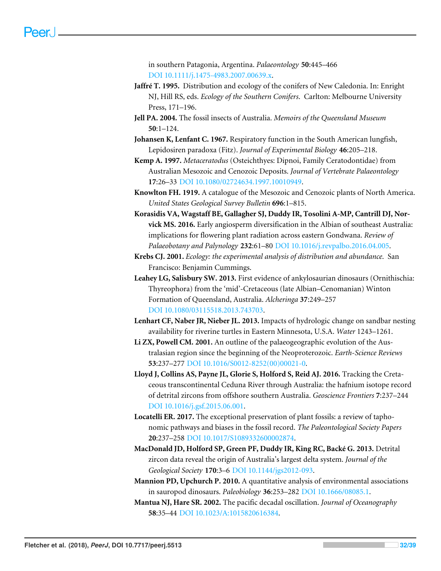in southern Patagonia, Argentina. *Palaeontology* **50**:445–466 [DOI 10.1111/j.1475-4983.2007.00639.x.](http://dx.doi.org/10.1111/j.1475-4983.2007.00639.x)

- <span id="page-31-10"></span>**Jaffré T. 1995.** Distribution and ecology of the conifers of New Caledonia. In: Enright NJ, Hill RS, eds. *Ecology of the Southern Conifers*. Carlton: Melbourne University Press, 171–196.
- <span id="page-31-11"></span>**Jell PA. 2004.** The fossil insects of Australia. *Memoirs of the Queensland Museum* **50**:1–124.
- <span id="page-31-4"></span>**Johansen K, Lenfant C. 1967.** Respiratory function in the South American lungfish, Lepidosiren paradoxa (Fitz). *Journal of Experimental Biology* **46**:205–218.
- <span id="page-31-0"></span>**Kemp A. 1997.** *Metaceratodus* (Osteichthyes: Dipnoi, Family Ceratodontidae) from Australian Mesozoic and Cenozoic Deposits. *Journal of Vertebrate Palaeontology* **17**:26–33 [DOI 10.1080/02724634.1997.10010949.](http://dx.doi.org/10.1080/02724634.1997.10010949)
- <span id="page-31-8"></span>**Knowlton FH. 1919.** A catalogue of the Mesozoic and Cenozoic plants of North America. *United States Geological Survey Bulletin* **696**:1–815.
- <span id="page-31-14"></span>**Korasidis VA, Wagstaff BE, Gallagher SJ, Duddy IR, Tosolini A-MP, Cantrill DJ, Norvick MS. 2016.** Early angiosperm diversification in the Albian of southeast Australia: implications for flowering plant radiation across eastern Gondwana. *Review of Palaeobotany and Palynology* **232**:61–80 [DOI 10.1016/j.revpalbo.2016.04.005.](http://dx.doi.org/10.1016/j.revpalbo.2016.04.005)
- <span id="page-31-9"></span>**Krebs CJ. 2001.** *Ecology: the experimental analysis of distribution and abundance*. San Francisco: Benjamin Cummings.
- <span id="page-31-12"></span>**Leahey LG, Salisbury SW. 2013.** First evidence of ankylosaurian dinosaurs (Ornithischia: Thyreophora) from the 'mid'-Cretaceous (late Albian–Cenomanian) Winton Formation of Queensland, Australia. *Alcheringa* **37**:249–257 [DOI 10.1080/03115518.2013.743703.](http://dx.doi.org/10.1080/03115518.2013.743703)
- <span id="page-31-5"></span>**Lenhart CF, Naber JR, Nieber JL. 2013.** Impacts of hydrologic change on sandbar nesting availability for riverine turtles in Eastern Minnesota, U.S.A. *Water* 1243–1261.
- <span id="page-31-1"></span>**Li ZX, Powell CM. 2001.** An outline of the palaeogeographic evolution of the Australasian region since the beginning of the Neoproterozoic. *Earth-Science Reviews* **53**:237–277 [DOI 10.1016/S0012-8252\(00\)00021-0.](http://dx.doi.org/10.1016/S0012-8252(00)00021-0)
- <span id="page-31-3"></span>**Lloyd J, Collins AS, Payne JL, Glorie S, Holford S, Reid AJ. 2016.** Tracking the Cretaceous transcontinental Ceduna River through Australia: the hafnium isotope record of detrital zircons from offshore southern Australia. *Geoscience Frontiers* **7**:237–244 [DOI 10.1016/j.gsf.2015.06.001.](http://dx.doi.org/10.1016/j.gsf.2015.06.001)
- <span id="page-31-7"></span>**Locatelli ER. 2017.** The exceptional preservation of plant fossils: a review of taphonomic pathways and biases in the fossil record. *The Paleontological Society Papers* **20**:237–258 [DOI 10.1017/S1089332600002874.](http://dx.doi.org/10.1017/S1089332600002874)
- <span id="page-31-2"></span>**MacDonald JD, Holford SP, Green PF, Duddy IR, King RC, Backé G. 2013.** Detrital zircon data reveal the origin of Australia's largest delta system. *Journal of the Geological Society* **170**:3–6 [DOI 10.1144/jgs2012-093.](http://dx.doi.org/10.1144/jgs2012-093)
- <span id="page-31-13"></span>**Mannion PD, Upchurch P. 2010.** A quantitative analysis of environmental associations in sauropod dinosaurs. *Paleobiology* **36**:253–282 [DOI 10.1666/08085.1.](http://dx.doi.org/10.1666/08085.1)
- <span id="page-31-6"></span>**Mantua NJ, Hare SR. 2002.** The pacific decadal oscillation. *Journal of Oceanography* **58**:35–44 [DOI 10.1023/A:1015820616384.](http://dx.doi.org/10.1023/A:1015820616384)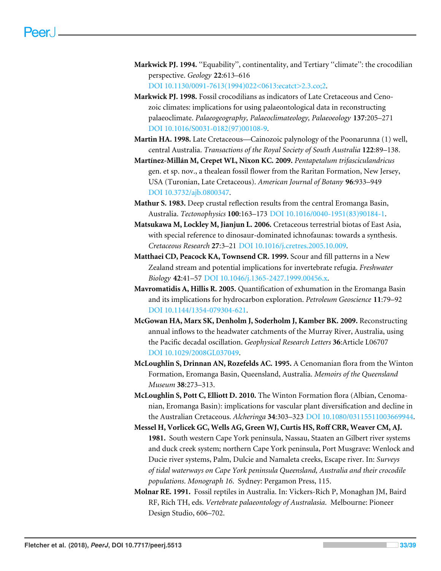- <span id="page-32-9"></span>**Markwick PJ. 1994.** ''Equability'', continentality, and Tertiary ''climate'': the crocodilian perspective. *Geology* **22**:613–616 [DOI 10.1130/0091-7613\(1994\)022<0613:ecatct>2.3.co;2.](http://dx.doi.org/10.1130/0091-7613(1994)022\lt 0613:ecatct\gt 2.3.co;2)
- <span id="page-32-10"></span>**Markwick PJ. 1998.** Fossil crocodilians as indicators of Late Cretaceous and Cenozoic climates: implications for using palaeontological data in reconstructing palaeoclimate. *Palaeogeography, Palaeoclimateology, Palaeoeology* **137**:205–271 [DOI 10.1016/S0031-0182\(97\)00108-9.](http://dx.doi.org/10.1016/S0031-0182(97)00108-9)
- <span id="page-32-1"></span>**Martin HA. 1998.** Late Cretaceous—Cainozoic palynology of the Poonarunna (1) well, central Australia. *Transactions of the Royal Society of South Australia* **122**:89–138.
- <span id="page-32-11"></span>**Martínez-Millán M, Crepet WL, Nixon KC. 2009.** *Pentapetalum trifasciculandricus* gen. et sp. nov., a thealean fossil flower from the Raritan Formation, New Jersey, USA (Turonian, Late Cretaceous). *American Journal of Botany* **96**:933–949 [DOI 10.3732/ajb.0800347.](http://dx.doi.org/10.3732/ajb.0800347)
- <span id="page-32-4"></span>**Mathur S. 1983.** Deep crustal reflection results from the central Eromanga Basin, Australia. *Tectonophysics* **100**:163–173 [DOI 10.1016/0040-1951\(83\)90184-1.](http://dx.doi.org/10.1016/0040-1951(83)90184-1)
- <span id="page-32-12"></span>**Matsukawa M, Lockley M, Jianjun L. 2006.** Cretaceous terrestrial biotas of East Asia, with special reference to dinosaur-dominated ichnofaunas: towards a synthesis. *Cretaceous Research* **27**:3–21 [DOI 10.1016/j.cretres.2005.10.009.](http://dx.doi.org/10.1016/j.cretres.2005.10.009)
- <span id="page-32-6"></span>**Matthaei CD, Peacock KA, Townsend CR. 1999.** Scour and fill patterns in a New Zealand stream and potential implications for invertebrate refugia. *Freshwater Biology* **42**:41–57 [DOI 10.1046/j.1365-2427.1999.00456.x.](http://dx.doi.org/10.1046/j.1365-2427.1999.00456.x)
- <span id="page-32-3"></span>**Mavromatidis A, Hillis R. 2005.** Quantification of exhumation in the Eromanga Basin and its implications for hydrocarbon exploration. *Petroleum Geoscience* **11**:79–92 [DOI 10.1144/1354-079304-621.](http://dx.doi.org/10.1144/1354-079304-621)
- <span id="page-32-8"></span>**McGowan HA, Marx SK, Denholm J, Soderholm J, Kamber BK. 2009.** Reconstructing annual inflows to the headwater catchments of the Murray River, Australia, using the Pacific decadal oscillation. *Geophysical Research Letters* **36**:Article L06707 [DOI 10.1029/2008GL037049.](http://dx.doi.org/10.1029/2008GL037049)
- <span id="page-32-0"></span>**McLoughlin S, Drinnan AN, Rozefelds AC. 1995.** A Cenomanian flora from the Winton Formation, Eromanga Basin, Queensland, Australia. *Memoirs of the Queensland Museum* **38**:273–313.
- <span id="page-32-2"></span>**McLoughlin S, Pott C, Elliott D. 2010.** The Winton Formation flora (Albian, Cenomanian, Eromanga Basin): implications for vascular plant diversification and decline in the Australian Cretaceous. *Alcheringa* **34**:303–323 [DOI 10.1080/03115511003669944.](http://dx.doi.org/10.1080/03115511003669944)
- <span id="page-32-7"></span>**Messel H, Vorlicek GC, Wells AG, Green WJ, Curtis HS, Roff CRR, Weaver CM, AJ. 1981.** South western Cape York peninsula, Nassau, Staaten an Gilbert river systems and duck creek system; northern Cape York peninsula, Port Musgrave: Wenlock and Ducie river systems, Palm, Dulcie and Namaleta creeks, Escape river. In: *Surveys of tidal waterways on Cape York peninsula Queensland, Australia and their crocodile populations*. *Monograph 16*. Sydney: Pergamon Press, 115.
- <span id="page-32-5"></span>**Molnar RE. 1991.** Fossil reptiles in Australia. In: Vickers-Rich P, Monaghan JM, Baird RF, Rich TH, eds. *Vertebrate palaeontology of Australasia*. Melbourne: Pioneer Design Studio, 606–702.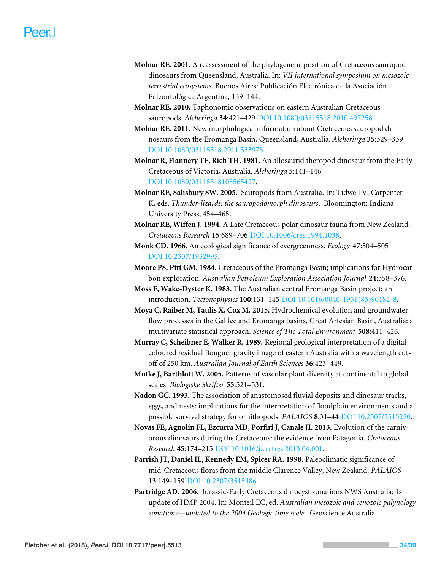- <span id="page-33-10"></span>**Molnar RE. 2001.** A reassessment of the phylogenetic position of Cretaceous sauropod dinosaurs from Queensland, Australia. In: *VII international symposium on mesozoic terrestrial ecosystems*. Buenos Aires: Publicación Electrónica de la Asociación Paleontológica Argentina, 139–144.
- <span id="page-33-1"></span>**Molnar RE. 2010.** Taphonomic observations on eastern Australian Cretaceous sauropods. *Alcheringa* **34**:421–429 [DOI 10.1080/03115518.2010.497258.](http://dx.doi.org/10.1080/03115518.2010.497258)
- <span id="page-33-11"></span>**Molnar RE. 2011.** New morphological information about Cretaceous sauropod dinosaurs from the Eromanga Basin, Queensland, Australia. *Alcheringa* **35**:329–339 [DOI 10.1080/03115518.2011.533978.](http://dx.doi.org/10.1080/03115518.2011.533978)
- <span id="page-33-15"></span>**Molnar R, Flannery TF, Rich TH. 1981.** An allosaurid theropod dinosaur from the Early Cretaceous of Victoria, Australia. *Alcheringa* **5**:141–146 [DOI 10.1080/03115518108565427.](http://dx.doi.org/10.1080/03115518108565427)
- <span id="page-33-0"></span>**Molnar RE, Salisbury SW. 2005.** Sauropods from Australia. In: Tidwell V, Carpenter K, eds. *Thunder-lizards: the sauropodomorph dinosaurs*. Bloomington: Indiana University Press, 454–465.
- <span id="page-33-12"></span>**Molnar RE, Wiffen J. 1994.** A Late Cretaceous polar dinosaur fauna from New Zealand. *Cretaceous Research* **15**:689–706 [DOI 10.1006/cres.1994.1038.](http://dx.doi.org/10.1006/cres.1994.1038)
- <span id="page-33-7"></span>**Monk CD. 1966.** An ecological significance of evergreenness. *Ecology* **47**:504–505 [DOI 10.2307/1932995.](http://dx.doi.org/10.2307/1932995)
- <span id="page-33-2"></span>**Moore PS, Pitt GM. 1984.** Cretaceous of the Eromanga Basin; implications for Hydrocarbon exploration. *Australian Petroleum Exploration Association Journal* **24**:358–376.
- <span id="page-33-4"></span>**Moss F, Wake-Dyster K. 1983.** The Australian central Eromanga Basin project: an introduction. *Tectonophysics* **100**:131–145 [DOI 10.1016/0040-1951\(83\)90182-8.](http://dx.doi.org/10.1016/0040-1951(83)90182-8)
- <span id="page-33-6"></span>**Moya C, Raiber M, Taulis X, Cox M. 2015.** Hydrochemical evolution and groundwater flow processes in the Galilee and Eromanga basins, Great Artesian Basin, Australia: a multivariate statistical approach. *Science of The Total Environment* **508**:411–426.
- <span id="page-33-5"></span>**Murray C, Scheibner E, Walker R. 1989.** Regional geological interpretation of a digital coloured residual Bouguer gravity image of eastern Australia with a wavelength cutoff of 250 km. *Australian Journal of Earth Sciences* **36**:423–449.
- <span id="page-33-8"></span>**Mutke J, Barthlott W. 2005.** Patterns of vascular plant diversity at continental to global scales. *Biologiske Skrifter* **55**:521–531.
- <span id="page-33-13"></span>**Nadon GC. 1993.** The association of anastomosed fluvial deposits and dinosaur tracks, eggs, and nests: implications for the interpretation of floodplain environments and a possible survival strategy for ornithopods. *PALAIOS* **8**:31–44 [DOI 10.2307/3515220.](http://dx.doi.org/10.2307/3515220)
- <span id="page-33-14"></span>**Novas FE, Agnolín FL, Ezcurra MD, Porfiri J, Canale JI. 2013.** Evolution of the carnivorous dinosaurs during the Cretaceous: the evidence from Patagonia. *Cretaceous Research* **45**:174–215 [DOI 10.1016/j.cretres.2013.04.001.](http://dx.doi.org/10.1016/j.cretres.2013.04.001)
- <span id="page-33-9"></span>**Parrish JT, Daniel IL, Kennedy EM, Spicer RA. 1998.** Paleoclimatic significance of mid-Cretaceous floras from the middle Clarence Valley, New Zealand. *PALAIOS* **13**:149–159 [DOI 10.2307/3515486.](http://dx.doi.org/10.2307/3515486)
- <span id="page-33-3"></span>**Partridge AD. 2006.** Jurassic-Early Cretaceous dinocyst zonations NWS Australia: 1st update of HMP 2004. In: Monteil EC, ed. *Australian mesozoic and cenozoic palynology zonations—updated to the 2004 Geologic time scale*. Geoscience Australia.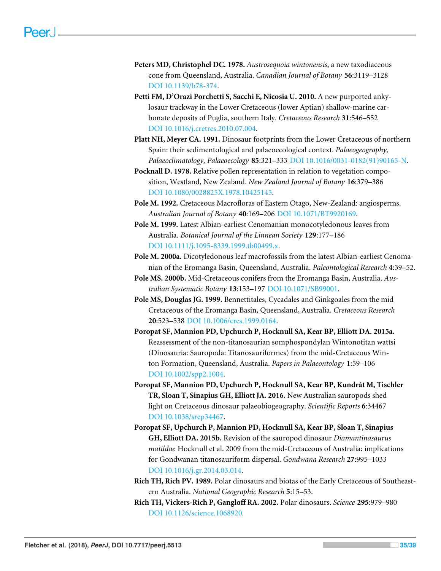- <span id="page-34-3"></span>**Peters MD, Christophel DC. 1978.** *Austrosequoia wintonensis*, a new taxodiaceous cone from Queensland, Australia. *Canadian Journal of Botany* **56**:3119–3128 [DOI 10.1139/b78-374.](http://dx.doi.org/10.1139/b78-374)
- <span id="page-34-10"></span>**Petti FM, D'Orazi Porchetti S, Sacchi E, Nicosia U. 2010.** A new purported ankylosaur trackway in the Lower Cretaceous (lower Aptian) shallow-marine carbonate deposits of Puglia, southern Italy. *Cretaceous Research* **31**:546–552 [DOI 10.1016/j.cretres.2010.07.004.](http://dx.doi.org/10.1016/j.cretres.2010.07.004)
- <span id="page-34-11"></span>**Platt NH, Meyer CA. 1991.** Dinosaur footprints from the Lower Cretaceous of northern Spain: their sedimentological and palaeoecological context. *Palaeogeography, Palaeoclimatology, Palaeoecology* **85**:321–333 [DOI 10.1016/0031-0182\(91\)90165-N.](http://dx.doi.org/10.1016/0031-0182(91)90165-N)
- <span id="page-34-9"></span>**Pocknall D. 1978.** Relative pollen representation in relation to vegetation composition, Westland, New Zealand. *New Zealand Journal of Botany* **16**:379–386 [DOI 10.1080/0028825X.1978.10425145.](http://dx.doi.org/10.1080/0028825X.1978.10425145)
- <span id="page-34-8"></span>**Pole M. 1992.** Cretaceous Macrofloras of Eastern Otago, New-Zealand: angiosperms. *Australian Journal of Botany* **40**:169–206 [DOI 10.1071/BT9920169.](http://dx.doi.org/10.1071/BT9920169)
- <span id="page-34-4"></span>**Pole M. 1999.** Latest Albian-earliest Cenomanian monocotyledonous leaves from Australia. *Botanical Journal of the Linnean Society* **129**:177–186 [DOI 10.1111/j.1095-8339.1999.tb00499.x.](http://dx.doi.org/10.1111/j.1095-8339.1999.tb00499.x)
- <span id="page-34-6"></span>**Pole M. 2000a.** Dicotyledonous leaf macrofossils from the latest Albian-earliest Cenomanian of the Eromanga Basin, Queensland, Australia. *Paleontological Research* **4**:39–52.
- <span id="page-34-7"></span>**Pole MS. 2000b.** Mid-Cretaceous conifers from the Eromanga Basin, Australia. *Australian Systematic Botany* **13**:153–197 [DOI 10.1071/SB99001.](http://dx.doi.org/10.1071/SB99001)
- <span id="page-34-5"></span>**Pole MS, Douglas JG. 1999.** Bennettitales, Cycadales and Ginkgoales from the mid Cretaceous of the Eromanga Basin, Queensland, Australia. *Cretaceous Research* **20**:523–538 [DOI 10.1006/cres.1999.0164.](http://dx.doi.org/10.1006/cres.1999.0164)
- <span id="page-34-0"></span>**Poropat SF, Mannion PD, Upchurch P, Hocknull SA, Kear BP, Elliott DA. 2015a.** Reassessment of the non-titanosaurian somphospondylan Wintonotitan wattsi (Dinosauria: Sauropoda: Titanosauriformes) from the mid-Cretaceous Winton Formation, Queensland, Australia. *Papers in Palaeontology* **1**:59–106 [DOI 10.1002/spp2.1004.](http://dx.doi.org/10.1002/spp2.1004)
- <span id="page-34-2"></span>**Poropat SF, Mannion PD, Upchurch P, Hocknull SA, Kear BP, Kundrát M, Tischler TR, Sloan T, Sinapius GH, Elliott JA. 2016.** New Australian sauropods shed light on Cretaceous dinosaur palaeobiogeography. *Scientific Reports* **6**:34467 [DOI 10.1038/srep34467.](http://dx.doi.org/10.1038/srep34467)
- <span id="page-34-1"></span>**Poropat SF, Upchurch P, Mannion PD, Hocknull SA, Kear BP, Sloan T, Sinapius GH, Elliott DA. 2015b.** Revision of the sauropod dinosaur *Diamantinasaurus matildae* Hocknull et al. 2009 from the mid-Cretaceous of Australia: implications for Gondwanan titanosauriform dispersal. *Gondwana Research* **27**:995–1033 [DOI 10.1016/j.gr.2014.03.014.](http://dx.doi.org/10.1016/j.gr.2014.03.014)
- <span id="page-34-12"></span>**Rich TH, Rich PV. 1989.** Polar dinosaurs and biotas of the Early Cretaceous of Southeastern Australia. *National Geographic Research* **5**:15–53.
- <span id="page-34-13"></span>**Rich TH, Vickers-Rich P, Gangloff RA. 2002.** Polar dinosaurs. *Science* **295**:979–980 [DOI 10.1126/science.1068920.](http://dx.doi.org/10.1126/science.1068920)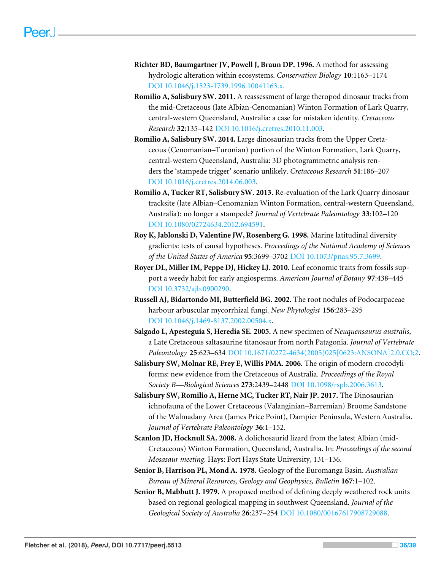- <span id="page-35-7"></span>**Richter BD, Baumgartner JV, Powell J, Braun DP. 1996.** A method for assessing hydrologic alteration within ecosystems. *Conservation Biology* **10**:1163–1174 [DOI 10.1046/j.1523-1739.1996.10041163.x.](http://dx.doi.org/10.1046/j.1523-1739.1996.10041163.x)
- <span id="page-35-1"></span>**Romilio A, Salisbury SW. 2011.** A reassessment of large theropod dinosaur tracks from the mid-Cretaceous (late Albian-Cenomanian) Winton Formation of Lark Quarry, central-western Queensland, Australia: a case for mistaken identity. *Cretaceous Research* **32**:135–142 [DOI 10.1016/j.cretres.2010.11.003.](http://dx.doi.org/10.1016/j.cretres.2010.11.003)
- <span id="page-35-3"></span>**Romilio A, Salisbury SW. 2014.** Large dinosaurian tracks from the Upper Cretaceous (Cenomanian–Turonian) portion of the Winton Formation, Lark Quarry, central-western Queensland, Australia: 3D photogrammetric analysis renders the 'stampede trigger' scenario unlikely. *Cretaceous Research* **51**:186–207 [DOI 10.1016/j.cretres.2014.06.003.](http://dx.doi.org/10.1016/j.cretres.2014.06.003)
- <span id="page-35-2"></span>**Romilio A, Tucker RT, Salisbury SW. 2013.** Re-evaluation of the Lark Quarry dinosaur tracksite (late Albian–Cenomanian Winton Formation, central-western Queensland, Australia): no longer a stampede? *Journal of Vertebrate Paleontology* **33**:102–120 [DOI 10.1080/02724634.2012.694591.](http://dx.doi.org/10.1080/02724634.2012.694591)
- <span id="page-35-10"></span>**Roy K, Jablonski D, Valentine JW, Rosenberg G. 1998.** Marine latitudinal diversity gradients: tests of causal hypotheses. *Proceedings of the National Academy of Sciences of the United States of America* **95**:3699–3702 [DOI 10.1073/pnas.95.7.3699.](http://dx.doi.org/10.1073/pnas.95.7.3699)
- <span id="page-35-9"></span>**Royer DL, Miller IM, Peppe DJ, Hickey LJ. 2010.** Leaf economic traits from fossils support a weedy habit for early angiosperms. *American Journal of Botany* **97**:438–445 [DOI 10.3732/ajb.0900290.](http://dx.doi.org/10.3732/ajb.0900290)
- <span id="page-35-8"></span>**Russell AJ, Bidartondo MI, Butterfield BG. 2002.** The root nodules of Podocarpaceae harbour arbuscular mycorrhizal fungi. *New Phytologist* **156**:283–295 [DOI 10.1046/j.1469-8137.2002.00504.x.](http://dx.doi.org/10.1046/j.1469-8137.2002.00504.x)
- <span id="page-35-11"></span>**Salgado L, Apesteguía S, Heredia SE. 2005.** A new specimen of *Neuquensaurus australis*, a Late Cretaceous saltasaurine titanosaur from north Patagonia. *Journal of Vertebrate Paleontology* **25**:623–634 [DOI 10.1671/0272-4634\(2005\)025\[0623:ANSONA\]2.0.CO;2.](http://dx.doi.org/10.1671/0272-4634(2005)025[0623:ANSONA]2.0.CO;2)
- <span id="page-35-5"></span>**Salisbury SW, Molnar RE, Frey E, Willis PMA. 2006.** The origin of modern crocodyliforms: new evidence from the Cretaceous of Australia. *Proceedings of the Royal Society B—Biological Sciences* **273**:2439–2448 [DOI 10.1098/rspb.2006.3613.](http://dx.doi.org/10.1098/rspb.2006.3613)
- <span id="page-35-12"></span>**Salisbury SW, Romilio A, Herne MC, Tucker RT, Nair JP. 2017.** The Dinosaurian ichnofauna of the Lower Cretaceous (Valanginian–Barremian) Broome Sandstone of the Walmadany Area (James Price Point), Dampier Peninsula, Western Australia. *Journal of Vertebrate Paleontology* **36**:1–152.
- <span id="page-35-0"></span>**Scanlon JD, Hocknull SA. 2008.** A dolichosaurid lizard from the latest Albian (mid-Cretaceous) Winton Formation, Queensland, Australia. In: *Proceedings of the second Mosasaur meeting*. Hays: Fort Hays State University, 131–136.
- <span id="page-35-4"></span>**Senior B, Harrison PL, Mond A. 1978.** Geology of the Euromanga Basin. *Australian Bureau of Mineral Resources, Geology and Geophysics, Bulletin* **167**:1–102.
- <span id="page-35-6"></span>**Senior B, Mabbutt J. 1979.** A proposed method of defining deeply weathered rock units based on regional geological mapping in southwest Queensland. *Journal of the Geological Society of Australia* **26**:237–254 [DOI 10.1080/00167617908729088.](http://dx.doi.org/10.1080/00167617908729088)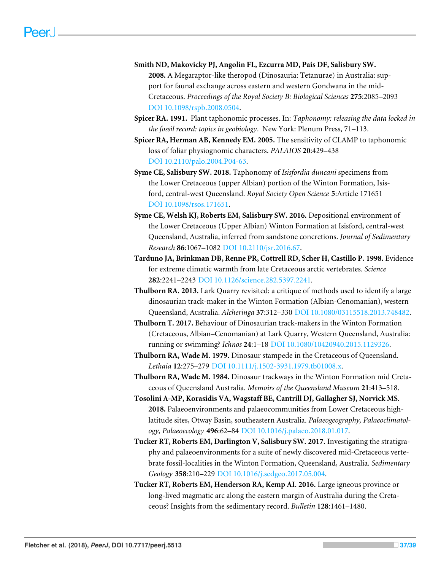- <span id="page-36-11"></span>**Smith ND, Makovicky PJ, Angolin FL, Ezcurra MD, Pais DF, Salisbury SW. 2008.** A Megaraptor-like theropod (Dinosauria: Tetanurae) in Australia: support for faunal exchange across eastern and western Gondwana in the mid-Cretaceous. *Proceedings of the Royal Society B: Biological Sciences* **275**:2085–2093 [DOI 10.1098/rspb.2008.0504.](http://dx.doi.org/10.1098/rspb.2008.0504)
- <span id="page-36-7"></span>**Spicer RA. 1991.** Plant taphonomic processes. In: *Taphonomy: releasing the data locked in the fossil record: topics in geobiology*. New York: Plenum Press, 71–113.
- <span id="page-36-8"></span>**Spicer RA, Herman AB, Kennedy EM. 2005.** The sensitivity of CLAMP to taphonomic loss of foliar physiognomic characters. *PALAIOS* **20**:429–438 [DOI 10.2110/palo.2004.P04-63.](http://dx.doi.org/10.2110/palo.2004.P04-63)
- <span id="page-36-5"></span>**Syme CE, Salisbury SW. 2018.** Taphonomy of *Isisfordia duncani* specimens from the Lower Cretaceous (upper Albian) portion of the Winton Formation, Isisford, central-west Queensland. *Royal Society Open Science* **5**:Article 171651 [DOI 10.1098/rsos.171651.](http://dx.doi.org/10.1098/rsos.171651)
- <span id="page-36-4"></span>**Syme CE, Welsh KJ, Roberts EM, Salisbury SW. 2016.** Depositional environment of the Lower Cretaceous (Upper Albian) Winton Formation at Isisford, central-west Queensland, Australia, inferred from sandstone concretions. *Journal of Sedimentary Research* **86**:1067–1082 [DOI 10.2110/jsr.2016.67.](http://dx.doi.org/10.2110/jsr.2016.67)
- <span id="page-36-6"></span>**Tarduno JA, Brinkman DB, Renne PR, Cottrell RD, Scher H, Castillo P. 1998.** Evidence for extreme climatic warmth from late Cretaceous arctic vertebrates. *Science* **282**:2241–2243 [DOI 10.1126/science.282.5397.2241.](http://dx.doi.org/10.1126/science.282.5397.2241)
- <span id="page-36-9"></span>**Thulborn RA. 2013.** Lark Quarry revisited: a critique of methods used to identify a large dinosaurian track-maker in the Winton Formation (Albian-Cenomanian), western Queensland, Australia. *Alcheringa* **37**:312–330 [DOI 10.1080/03115518.2013.748482.](http://dx.doi.org/10.1080/03115518.2013.748482)
- <span id="page-36-10"></span>**Thulborn T. 2017.** Behaviour of Dinosaurian track-makers in the Winton Formation (Cretaceous, Albian–Cenomanian) at Lark Quarry, Western Queensland, Australia: running or swimming? *Ichnos* **24**:1–18 [DOI 10.1080/10420940.2015.1129326.](http://dx.doi.org/10.1080/10420940.2015.1129326)
- <span id="page-36-2"></span>**Thulborn RA, Wade M. 1979.** Dinosaur stampede in the Cretaceous of Queensland. *Lethaia* **12**:275–279 [DOI 10.1111/j.1502-3931.1979.tb01008.x.](http://dx.doi.org/10.1111/j.1502-3931.1979.tb01008.x)
- <span id="page-36-3"></span>**Thulborn RA, Wade M. 1984.** Dinosaur trackways in the Winton Formation mid Cretaceous of Queensland Australia. *Memoirs of the Queensland Museum* **21**:413–518.
- <span id="page-36-12"></span>**Tosolini A-MP, Korasidis VA, Wagstaff BE, Cantrill DJ, Gallagher SJ, Norvick MS. 2018.** Palaeoenvironments and palaeocommunities from Lower Cretaceous highlatitude sites, Otway Basin, southeastern Australia. *Palaeogeography, Palaeoclimatology, Palaeoecology* **496**:62–84 [DOI 10.1016/j.palaeo.2018.01.017.](http://dx.doi.org/10.1016/j.palaeo.2018.01.017)
- <span id="page-36-1"></span>**Tucker RT, Roberts EM, Darlington V, Salisbury SW. 2017.** Investigating the stratigraphy and palaeoenvironments for a suite of newly discovered mid-Cretaceous vertebrate fossil-localities in the Winton Formation, Queensland, Australia. *Sedimentary Geology* **358**:210–229 [DOI 10.1016/j.sedgeo.2017.05.004.](http://dx.doi.org/10.1016/j.sedgeo.2017.05.004)
- <span id="page-36-0"></span>**Tucker RT, Roberts EM, Henderson RA, Kemp AI. 2016.** Large igneous province or long-lived magmatic arc along the eastern margin of Australia during the Cretaceous? Insights from the sedimentary record. *Bulletin* **128**:1461–1480.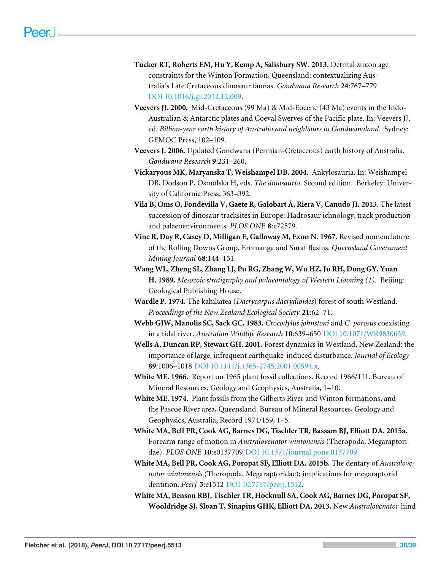- <span id="page-37-0"></span>**Tucker RT, Roberts EM, Hu Y, Kemp A, Salisbury SW. 2013.** Detrital zircon age constraints for the Winton Formation, Queensland: contextualizing Australia's Late Cretaceous dinosaur faunas. *Gondwana Research* **24**:767–779 [DOI 10.1016/j.gr.2012.12.009.](http://dx.doi.org/10.1016/j.gr.2012.12.009)
- <span id="page-37-5"></span>**Veevers JJ. 2000.** Mid-Cretaceous (99 Ma) & Mid-Eocene (43 Ma) events in the Indo-Australian & Antarctic plates and Coeval Swerves of the Pacific plate. In: Veevers JJ, ed. *Billion-year earth history of Australia and neighbours in Gondwanaland*. Sydney: GEMOC Press, 102–109.
- <span id="page-37-6"></span>**Veevers J. 2006.** Updated Gondwana (Permian-Cretaceous) earth history of Australia. *Gondwana Research* **9**:231–260.
- <span id="page-37-13"></span>**Vickaryous MK, Maryanska T, Weishampel DB. 2004.** Ankylosauria. In: Weishampel DB, Dodson P, Osmólska H, eds. *The dinosauria*. Second edition. Berkeley: University of California Press, 363–392.
- <span id="page-37-14"></span>**Vila B, Oms O, Fondevilla V, Gaete R, Galobart À, Riera V, Canudo JI. 2013.** The latest succession of dinosaur tracksites in Europe: Hadrosaur ichnology, track production and palaeoenvironments. *PLOS ONE* **8**:e72579.
- <span id="page-37-4"></span>**Vine R, Day R, Casey D, Milligan E, Galloway M, Exon N. 1967.** Revised nomenclature of the Rolling Downs Group, Eromanga and Surat Basins. *Queensland Government Mining Journal* **68**:144–151.
- <span id="page-37-12"></span>**Wang WL, Zheng SL, Zhang LJ, Pu RG, Zhang W, Wu HZ, Ju RH, Dong GY, Yuan H. 1989.** *Mesozoic stratigraphy and palaeontology of Western Liaoning (1)*. Beijing: Geological Publishing House.
- <span id="page-37-9"></span>**Wardle P. 1974.** The kahikatea (*Dacrycarpus dacrydioides*) forest of south Westland. *Proceedings of the New Zealand Ecological Society* **21**:62–71.
- <span id="page-37-7"></span>**Webb GJW, Manolis SC, Sack GC. 1983.** *Crocodylus johnstoni* and *C. porosus* coexisting in a tidal river. *Australian Wildlife Research* **10**:639–650 [DOI 10.1071/WR9830639.](http://dx.doi.org/10.1071/WR9830639)
- <span id="page-37-8"></span>**Wells A, Duncan RP, Stewart GH. 2001.** Forest dynamics in Westland, New Zealand: the importance of large, infrequent earthquake-induced disturbance. *Journal of Ecology* **89**:1006–1018 [DOI 10.1111/j.1365-2745.2001.00594.x.](http://dx.doi.org/10.1111/j.1365-2745.2001.00594.x)
- <span id="page-37-3"></span>**White ME. 1966.** Report on 1965 plant fossil collections. Record 1966/111. Bureau of Mineral Resources, Geology and Geophysics, Australia, 1–10.
- <span id="page-37-10"></span>**White ME. 1974.** Plant fossils from the Gilberts River and Winton formations, and the Pascoe River area, Queensland. Bureau of Mineral Resources, Geology and Geophysics, Australia, Record 1974/159, 1–5.
- <span id="page-37-1"></span>**White MA, Bell PR, Cook AG, Barnes DG, Tischler TR, Bassam BJ, Elliott DA. 2015a.** Forearm range of motion in *Australovenator wintonensis* (Theropoda, Megaraptoridae). *PLOS ONE* **10**:e0137709 [DOI 10.1371/journal.pone.0137709.](http://dx.doi.org/10.1371/journal.pone.0137709)
- <span id="page-37-2"></span>**White MA, Bell PR, Cook AG, Poropat SF, Elliott DA. 2015b.** The dentary of *Australovenator wintonensis* (Theropoda, Megaraptoridae); implications for megaraptorid dentition. *PeerJ* **3**:e1512 [DOI 10.7717/peerj.1512.](http://dx.doi.org/10.7717/peerj.1512)
- <span id="page-37-11"></span>**White MA, Benson RBJ, Tischler TR, Hocknull SA, Cook AG, Barnes DG, Poropat SF, Wooldridge SJ, Sloan T, Sinapius GHK, Elliott DA. 2013.** New *Australovenator* hind